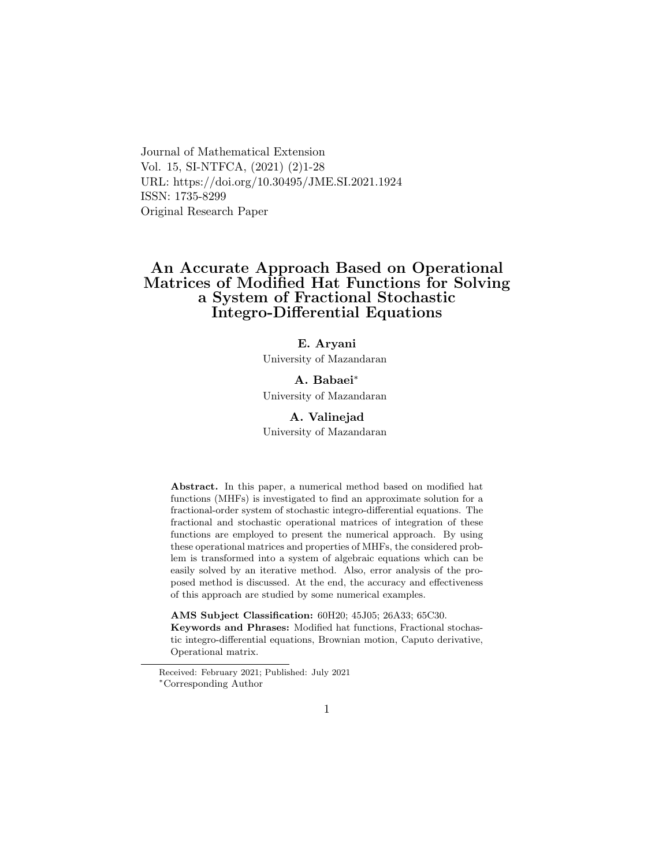Journal of Mathematical Extension Vol. 15, SI-NTFCA, (2021) (2)1-28 URL: https://doi.org/10.30495/JME.SI.2021.1924 ISSN: 1735-8299 Original Research Paper

# An Accurate Approach Based on Operational Matrices of Modified Hat Functions for Solving a System of Fractional Stochastic Integro-Differential Equations

## E. Aryani

University of Mazandaran

# A. Babaei[∗](#page-0-0)

University of Mazandaran

# A. Valinejad

University of Mazandaran

Abstract. In this paper, a numerical method based on modified hat functions (MHFs) is investigated to find an approximate solution for a fractional-order system of stochastic integro-differential equations. The fractional and stochastic operational matrices of integration of these functions are employed to present the numerical approach. By using these operational matrices and properties of MHFs, the considered problem is transformed into a system of algebraic equations which can be easily solved by an iterative method. Also, error analysis of the proposed method is discussed. At the end, the accuracy and effectiveness of this approach are studied by some numerical examples.

AMS Subject Classification: 60H20; 45J05; 26A33; 65C30.

Keywords and Phrases: Modified hat functions, Fractional stochastic integro-differential equations, Brownian motion, Caputo derivative, Operational matrix.

<span id="page-0-0"></span>Received: February 2021; Published: July 2021 <sup>∗</sup>Corresponding Author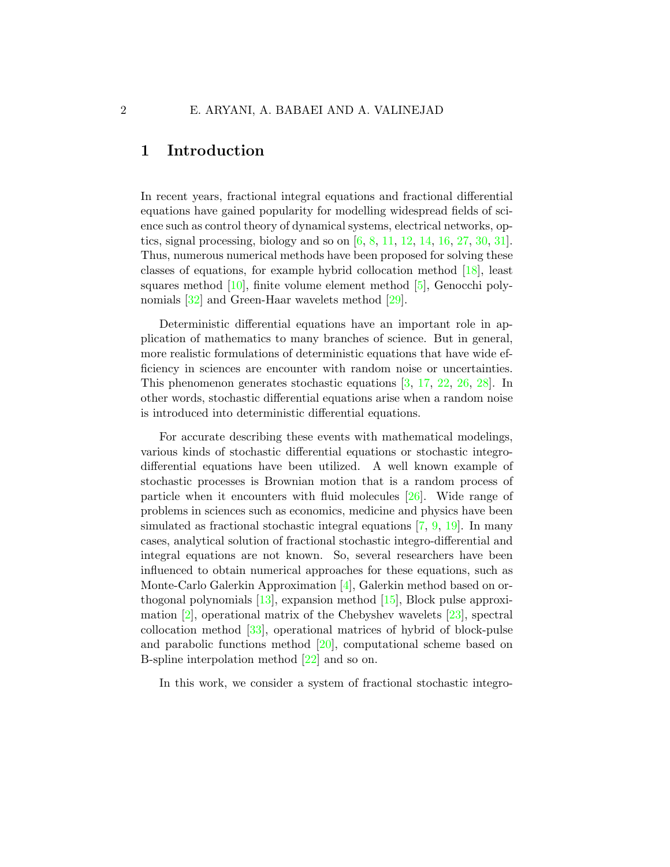# 1 Introduction

In recent years, fractional integral equations and fractional differential equations have gained popularity for modelling widespread fields of science such as control theory of dynamical systems, electrical networks, optics, signal processing, biology and so on [\[6,](#page-24-0) [8,](#page-24-1) [11,](#page-24-2) [12,](#page-25-0) [14,](#page-25-1) [16,](#page-25-2) [27,](#page-26-0) [30,](#page-26-1) [31\]](#page-26-2). Thus, numerous numerical methods have been proposed for solving these classes of equations, for example hybrid collocation method [\[18\]](#page-25-3), least squares method  $[10]$ , finite volume element method  $[5]$ , Genocchi poly-nomials [\[32\]](#page-27-0) and Green-Haar wavelets method [\[29\]](#page-26-3).

Deterministic differential equations have an important role in application of mathematics to many branches of science. But in general, more realistic formulations of deterministic equations that have wide efficiency in sciences are encounter with random noise or uncertainties. This phenomenon generates stochastic equations [\[3,](#page-24-5) [17,](#page-25-4) [22,](#page-26-4) [26,](#page-26-5) [28\]](#page-26-6). In other words, stochastic differential equations arise when a random noise is introduced into deterministic differential equations.

For accurate describing these events with mathematical modelings, various kinds of stochastic differential equations or stochastic integrodifferential equations have been utilized. A well known example of stochastic processes is Brownian motion that is a random process of particle when it encounters with fluid molecules [\[26\]](#page-26-5). Wide range of problems in sciences such as economics, medicine and physics have been simulated as fractional stochastic integral equations [\[7,](#page-24-6) [9,](#page-24-7) [19\]](#page-25-5). In many cases, analytical solution of fractional stochastic integro-differential and integral equations are not known. So, several researchers have been influenced to obtain numerical approaches for these equations, such as Monte-Carlo Galerkin Approximation [\[4\]](#page-24-8), Galerkin method based on orthogonal polynomials [\[13\]](#page-25-6), expansion method [\[15\]](#page-25-7), Block pulse approximation  $[2]$ , operational matrix of the Chebyshev wavelets  $[23]$ , spectral collocation method [\[33\]](#page-27-1), operational matrices of hybrid of block-pulse and parabolic functions method [\[20\]](#page-25-8), computational scheme based on B-spline interpolation method [\[22\]](#page-26-4) and so on.

In this work, we consider a system of fractional stochastic integro-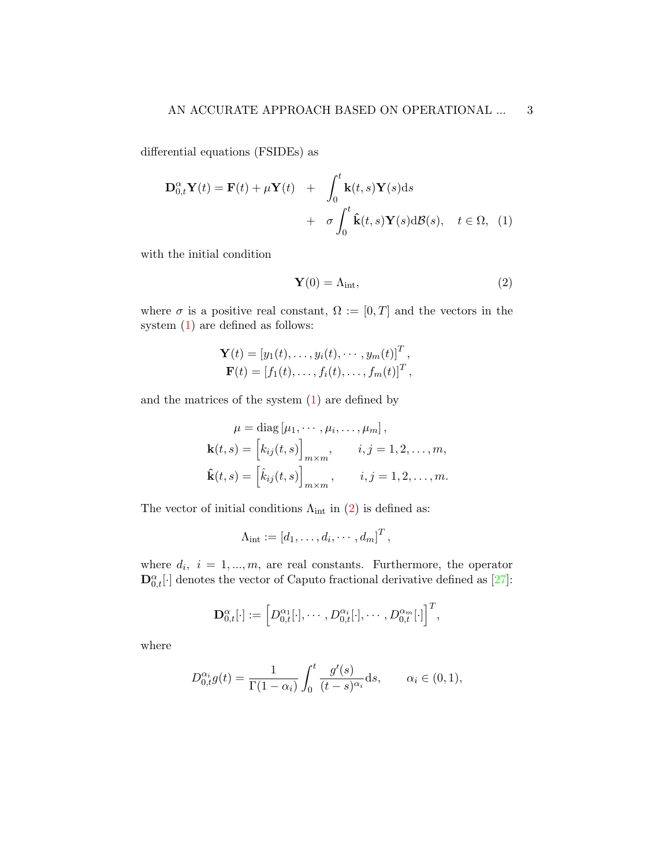differential equations (FSIDEs) as

<span id="page-2-0"></span>
$$
\mathbf{D}_{0,t}^{\alpha} \mathbf{Y}(t) = \mathbf{F}(t) + \mu \mathbf{Y}(t) + \int_0^t \mathbf{k}(t,s) \mathbf{Y}(s) ds + \sigma \int_0^t \hat{\mathbf{k}}(t,s) \mathbf{Y}(s) d\mathcal{B}(s), \quad t \in \Omega, \tag{1}
$$

with the initial condition

<span id="page-2-1"></span>
$$
\mathbf{Y}(0) = \Lambda_{\text{int}},\tag{2}
$$

where  $\sigma$  is a positive real constant,  $\Omega := [0, T]$  and the vectors in the system [\(1\)](#page-2-0) are defined as follows:

$$
\mathbf{Y}(t) = [y_1(t), \dots, y_i(t), \dots, y_m(t)]^T,
$$
  

$$
\mathbf{F}(t) = [f_1(t), \dots, f_i(t), \dots, f_m(t)]^T,
$$

and the matrices of the system  $(1)$  are defined by

$$
\mu = \text{diag}\left[\mu_1, \cdots, \mu_i, \ldots, \mu_m\right],
$$

$$
\mathbf{k}(t, s) = \begin{bmatrix} k_{ij}(t, s) \end{bmatrix}_{m \times m}, \quad i, j = 1, 2, \ldots, m,
$$

$$
\hat{\mathbf{k}}(t, s) = \begin{bmatrix} \hat{k}_{ij}(t, s) \end{bmatrix}_{m \times m}, \quad i, j = 1, 2, \ldots, m.
$$

The vector of initial conditions  $\Lambda_{int}$  in [\(2\)](#page-2-1) is defined as:

$$
\Lambda_{\text{int}} := [d_1, \ldots, d_i, \cdots, d_m]^T,
$$

where  $d_i$ ,  $i = 1, ..., m$ , are real constants. Furthermore, the operator  $\mathbf{D}_{0,t}^{\alpha}[\cdot]$  denotes the vector of Caputo fractional derivative defined as [\[27\]](#page-26-0):

$$
\mathbf{D}^{\alpha}_{0,t}[\cdot]:=\left[D^{\alpha_1}_{0,t}[\cdot],\cdots,D^{\alpha_i}_{0,t}[\cdot],\cdots,D^{\alpha_m}_{0,t}[\cdot]\right]^T,
$$

where

$$
D_{0,t}^{\alpha_i}g(t) = \frac{1}{\Gamma(1-\alpha_i)} \int_0^t \frac{g'(s)}{(t-s)^{\alpha_i}} ds, \qquad \alpha_i \in (0,1),
$$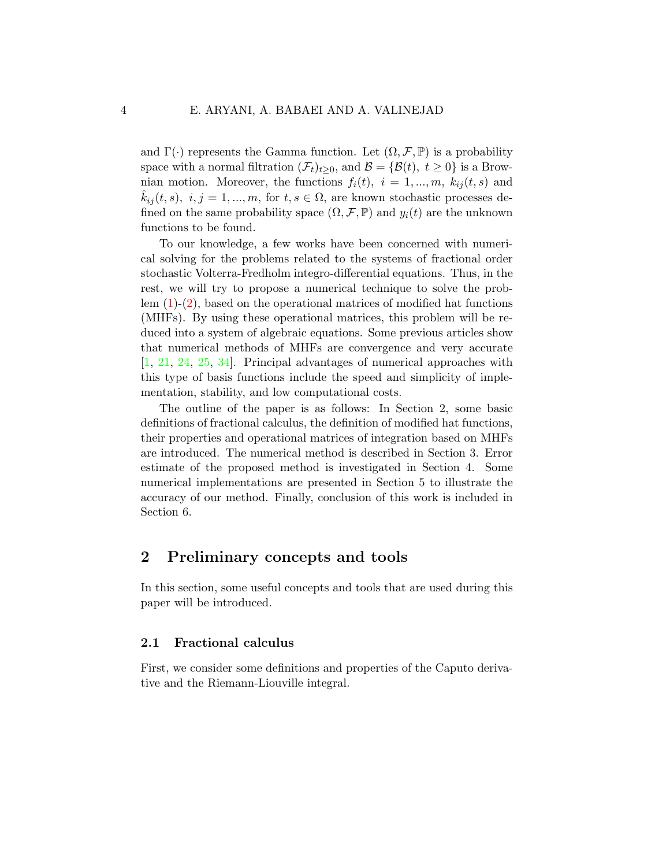and  $\Gamma(\cdot)$  represents the Gamma function. Let  $(\Omega, \mathcal{F}, \mathbb{P})$  is a probability space with a normal filtration  $(\mathcal{F}_t)_{t\geq0}$ , and  $\mathcal{B} = {\mathcal{B}(t), t \geq 0}$  is a Brownian motion. Moreover, the functions  $f_i(t)$ ,  $i = 1, ..., m$ ,  $k_{ij}(t, s)$  and  $k_{ij}(t, s), i, j = 1, ..., m$ , for  $t, s \in \Omega$ , are known stochastic processes defined on the same probability space  $(\Omega, \mathcal{F}, \mathbb{P})$  and  $y_i(t)$  are the unknown functions to be found.

To our knowledge, a few works have been concerned with numerical solving for the problems related to the systems of fractional order stochastic Volterra-Fredholm integro-differential equations. Thus, in the rest, we will try to propose a numerical technique to solve the problem  $(1)-(2)$  $(1)-(2)$ , based on the operational matrices of modified hat functions (MHFs). By using these operational matrices, this problem will be reduced into a system of algebraic equations. Some previous articles show that numerical methods of MHFs are convergence and very accurate [\[1,](#page-23-1) [21,](#page-25-9) [24,](#page-26-8) [25,](#page-26-9) [34\]](#page-27-2). Principal advantages of numerical approaches with this type of basis functions include the speed and simplicity of implementation, stability, and low computational costs.

The outline of the paper is as follows: In Section 2, some basic definitions of fractional calculus, the definition of modified hat functions, their properties and operational matrices of integration based on MHFs are introduced. The numerical method is described in Section 3. Error estimate of the proposed method is investigated in Section 4. Some numerical implementations are presented in Section 5 to illustrate the accuracy of our method. Finally, conclusion of this work is included in Section 6.

# 2 Preliminary concepts and tools

In this section, some useful concepts and tools that are used during this paper will be introduced.

### 2.1 Fractional calculus

First, we consider some definitions and properties of the Caputo derivative and the Riemann-Liouville integral.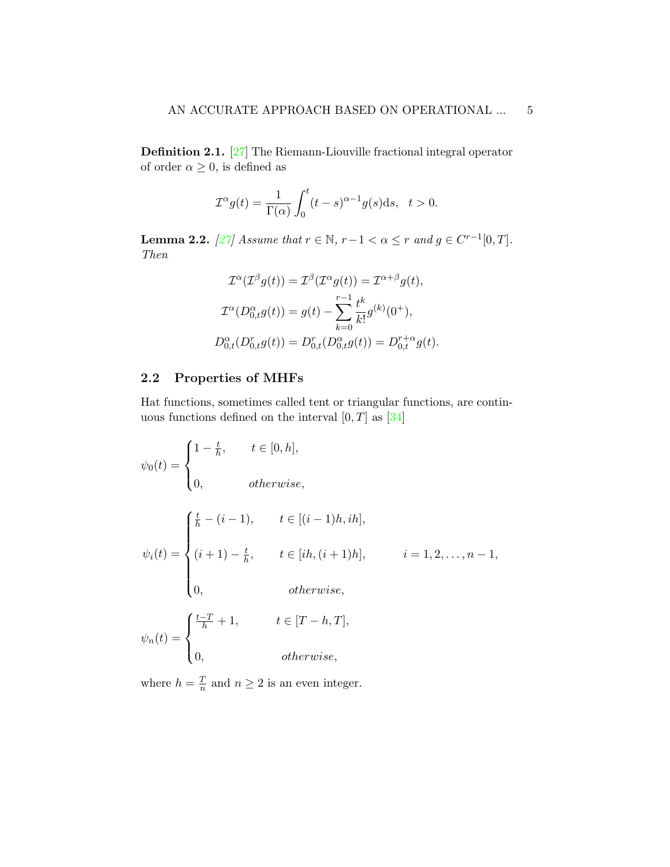Definition 2.1. [\[27\]](#page-26-0) The Riemann-Liouville fractional integral operator of order  $\alpha \geq 0$ , is defined as

$$
\mathcal{I}^{\alpha}g(t) = \frac{1}{\Gamma(\alpha)} \int_0^t (t-s)^{\alpha-1} g(s) \mathrm{d}s, \quad t > 0.
$$

**Lemma 2.2.** [\[27\]](#page-26-0) Assume that  $r \in \mathbb{N}$ ,  $r-1 < \alpha \leq r$  and  $g \in C^{r-1}[0,T]$ . Then

$$
\mathcal{I}^{\alpha}(\mathcal{I}^{\beta}g(t)) = \mathcal{I}^{\beta}(\mathcal{I}^{\alpha}g(t)) = \mathcal{I}^{\alpha+\beta}g(t),
$$
  

$$
\mathcal{I}^{\alpha}(D_{0,t}^{\alpha}g(t)) = g(t) - \sum_{k=0}^{r-1} \frac{t^k}{k!}g^{(k)}(0^+),
$$
  

$$
D_{0,t}^{\alpha}(D_{0,t}^r g(t)) = D_{0,t}^r(D_{0,t}^{\alpha}g(t)) = D_{0,t}^{r+\alpha}g(t).
$$

## 2.2 Properties of MHFs

Hat functions, sometimes called tent or triangular functions, are continuous functions defined on the interval  $[0, T]$  as  $[34]$ 

<span id="page-4-0"></span>
$$
\psi_0(t) = \begin{cases}\n1 - \frac{t}{h}, & t \in [0, h], \\
0, & otherwise, \n\end{cases}
$$
\n
$$
\psi_i(t) = \begin{cases}\n\frac{t}{h} - (i - 1), & t \in [(i - 1)h, ih], \\
(i + 1) - \frac{t}{h}, & t \in [ih, (i + 1)h], \\
0, & otherwise, \n\end{cases}
$$
\n
$$
\psi_n(t) = \begin{cases}\n\frac{t - T}{h} + 1, & t \in [T - h, T], \\
0, & otherwise, \n\end{cases}
$$

where  $h = \frac{T}{n}$  $\frac{T}{n}$  and  $n \geq 2$  is an even integer.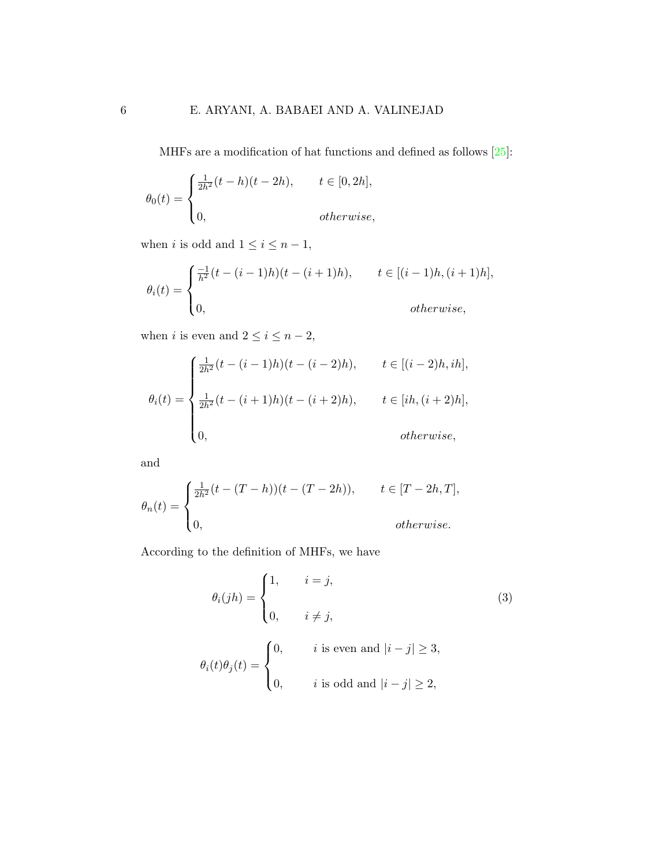MHFs are a modification of hat functions and defined as follows [\[25\]](#page-26-9):

$$
\theta_0(t) = \begin{cases} \frac{1}{2h^2}(t-h)(t-2h), & t \in [0,2h], \\ 0, & otherwise, \end{cases}
$$

when  $i$  is odd and  $1\leq i\leq n-1,$ 

$$
\theta_i(t) = \begin{cases} \frac{-1}{h^2}(t - (i-1)h)(t - (i+1)h), & t \in [(i-1)h, (i+1)h], \\ 0, & \text{otherwise,} \end{cases}
$$

when  $i$  is even and  $2\leq i\leq n-2,$ 

$$
\theta_i(t) = \begin{cases} \frac{1}{2h^2}(t - (i-1)h)(t - (i-2)h), & t \in [(i-2)h, ih], \\ \\ \frac{1}{2h^2}(t - (i+1)h)(t - (i+2)h), & t \in [ih, (i+2)h], \\ \\ 0, & otherwise, \end{cases}
$$

and

$$
\theta_n(t) = \begin{cases} \frac{1}{2h^2}(t - (T - h))(t - (T - 2h)), & t \in [T - 2h, T], \\ 0, & \text{otherwise.} \end{cases}
$$

According to the definition of MHFs, we have

$$
\theta_i(jh) = \begin{cases}\n1, & i = j, \\
0, & i \neq j,\n\end{cases}
$$
\n(3)\n
$$
\theta_i(t)\theta_j(t) = \begin{cases}\n0, & i \text{ is even and } |i - j| \ge 3, \\
0, & i \text{ is odd and } |i - j| \ge 2,\n\end{cases}
$$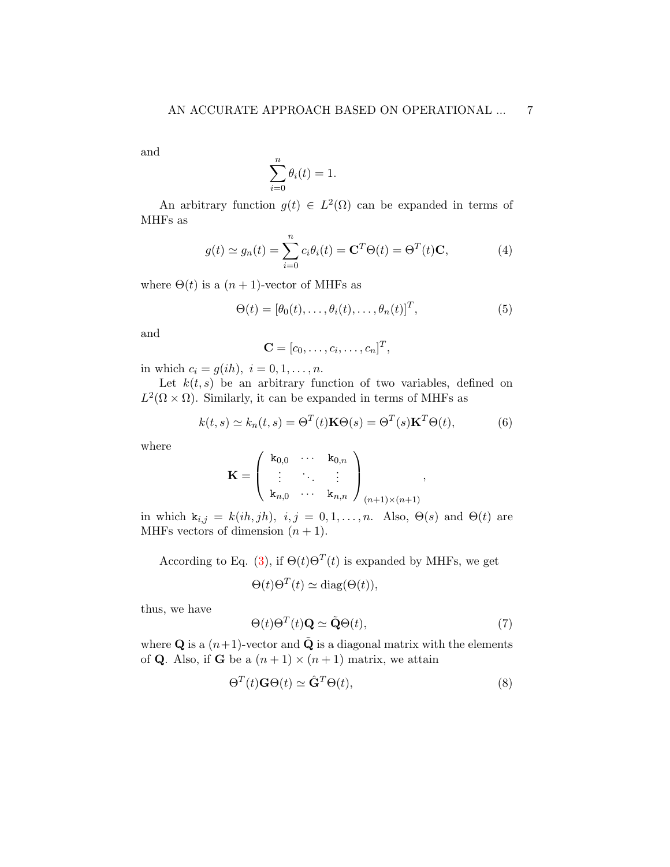and

$$
\sum_{i=0}^{n} \theta_i(t) = 1.
$$

An arbitrary function  $g(t) \in L^2(\Omega)$  can be expanded in terms of MHFs as

<span id="page-6-2"></span>
$$
g(t) \simeq g_n(t) = \sum_{i=0}^n c_i \theta_i(t) = \mathbf{C}^T \Theta(t) = \Theta^T(t) \mathbf{C}, \tag{4}
$$

where  $\Theta(t)$  is a  $(n+1)$ -vector of MHFs as

<span id="page-6-0"></span>
$$
\Theta(t) = [\theta_0(t), \dots, \theta_i(t), \dots, \theta_n(t)]^T,
$$
\n(5)

and

<span id="page-6-3"></span>
$$
\mathbf{C} = [c_0, \ldots, c_i, \ldots, c_n]^T,
$$

in which  $c_i = g(ih)$ ,  $i = 0, 1, ..., n$ .

Let  $k(t, s)$  be an arbitrary function of two variables, defined on  $L^2(\Omega \times \Omega)$ . Similarly, it can be expanded in terms of MHFs as

$$
k(t,s) \simeq k_n(t,s) = \Theta^T(t)\mathbf{K}\Theta(s) = \Theta^T(s)\mathbf{K}^T\Theta(t),
$$
 (6)

where

$$
\mathbf{K} = \left( \begin{array}{ccc} \mathbf{k}_{0,0} & \cdots & \mathbf{k}_{0,n} \\ \vdots & \ddots & \vdots \\ \mathbf{k}_{n,0} & \cdots & \mathbf{k}_{n,n} \end{array} \right)_{(n+1)\times(n+1)},
$$

in which  $k_{i,j} = k(ih, jh), i, j = 0, 1, \ldots, n$ . Also,  $\Theta(s)$  and  $\Theta(t)$  are MHFs vectors of dimension  $(n + 1)$ .

According to Eq. [\(3\)](#page-4-0), if  $\Theta(t)\Theta^{T}(t)$  is expanded by MHFs, we get

$$
\Theta(t)\Theta^{T}(t) \simeq \text{diag}(\Theta(t)),
$$

thus, we have

<span id="page-6-1"></span>
$$
\Theta(t)\Theta^{T}(t)\mathbf{Q} \simeq \tilde{\mathbf{Q}}\Theta(t),\tag{7}
$$

where **Q** is a  $(n+1)$ -vector and  $\tilde{Q}$  is a diagonal matrix with the elements of **Q**. Also, if **G** be a  $(n+1) \times (n+1)$  matrix, we attain

$$
\Theta^T(t)\mathbf{G}\Theta(t) \simeq \hat{\mathbf{G}}^T\Theta(t),\tag{8}
$$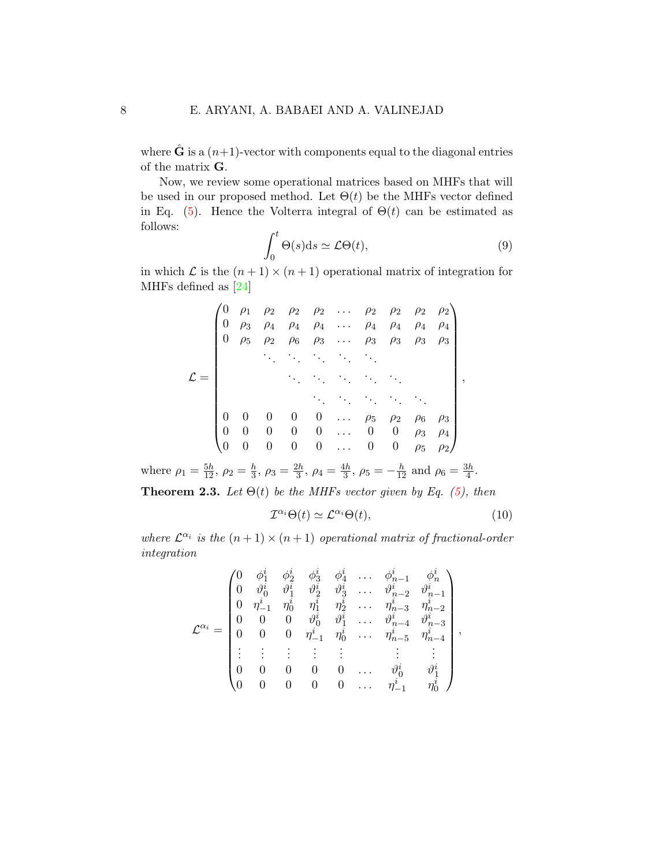where  $\hat{G}$  is a  $(n+1)$ -vector with components equal to the diagonal entries of the matrix G.

Now, we review some operational matrices based on MHFs that will be used in our proposed method. Let  $\Theta(t)$  be the MHFs vector defined in Eq. [\(5\)](#page-6-0). Hence the Volterra integral of  $\Theta(t)$  can be estimated as follows:

$$
\int_0^t \Theta(s)ds \simeq \mathcal{L}\Theta(t),\tag{9}
$$

in which  $\mathcal L$  is the  $(n+1) \times (n+1)$  operational matrix of integration for MHFs defined as [\[24\]](#page-26-8)

L = 0 ρ<sup>1</sup> ρ<sup>2</sup> ρ<sup>2</sup> ρ<sup>2</sup> . . . ρ<sup>2</sup> ρ<sup>2</sup> ρ<sup>2</sup> ρ<sup>2</sup> 0 ρ<sup>3</sup> ρ<sup>4</sup> ρ<sup>4</sup> ρ<sup>4</sup> . . . ρ<sup>4</sup> ρ<sup>4</sup> ρ<sup>4</sup> ρ<sup>4</sup> 0 ρ<sup>5</sup> ρ<sup>2</sup> ρ<sup>6</sup> ρ<sup>3</sup> . . . ρ<sup>3</sup> ρ<sup>3</sup> ρ<sup>3</sup> ρ<sup>3</sup> . . . . . . . . . . . . . . . . . . . . . . . . . . . . . . . . . . . . . . . . . . . . . 0 0 0 0 0 . . . ρ<sup>5</sup> ρ<sup>2</sup> ρ<sup>6</sup> ρ<sup>3</sup> 0 0 0 0 0 . . . 0 0 ρ<sup>3</sup> ρ<sup>4</sup> 0 0 0 0 0 . . . 0 0 ρ<sup>5</sup> ρ<sup>2</sup> ,

where  $\rho_1 = \frac{5h}{12}, \, \rho_2 = \frac{h}{3}$  $\frac{h}{3}, \rho_3 = \frac{2h}{3}$  $\frac{2h}{3}, \rho_4 = \frac{4h}{3}$  $\frac{4h}{3}$ ,  $\rho_5 = -\frac{h}{12}$  and  $\rho_6 = \frac{3h}{4}$  $\frac{3h}{4}$ . **Theorem 2.3.** Let  $\Theta(t)$  be the MHFs vector given by Eq. [\(5\)](#page-6-0), then

$$
\mathcal{I}^{\alpha_i} \Theta(t) \simeq \mathcal{L}^{\alpha_i} \Theta(t),\tag{10}
$$

where  $\mathcal{L}^{\alpha_i}$  is the  $(n+1) \times (n+1)$  operational matrix of fractional-order integration

i

<span id="page-7-0"></span>
$$
\mathcal{L}^{\alpha_i}=\begin{pmatrix} 0 & \phi_1^i & \phi_2^i & \phi_3^i & \phi_4^i & \dots & \phi_{n-1}^i & \phi_n^i \\ 0 & \vartheta_0^i & \vartheta_1^i & \vartheta_2^i & \vartheta_3^i & \dots & \vartheta_{n-2}^i & \vartheta_{n-1}^i \\ 0 & \eta_{-1}^i & \eta_0^i & \eta_1^i & \eta_2^i & \dots & \eta_{n-3}^i & \eta_{n-2}^i \\ 0 & 0 & 0 & \vartheta_0^i & \vartheta_1^i & \dots & \vartheta_{n-4}^i & \vartheta_{n-3}^i \\ 0 & 0 & 0 & \eta_{-1}^i & \eta_0^i & \dots & \eta_{n-5}^i & \eta_{n-4}^i \\ \vdots & \vdots & \vdots & \vdots & \vdots & \vdots & \vdots \\ 0 & 0 & 0 & 0 & \dots & \vartheta_0^i & \vartheta_1^i \\ 0 & 0 & 0 & 0 & \dots & \eta_{-1}^i & \eta_0^i \end{pmatrix},
$$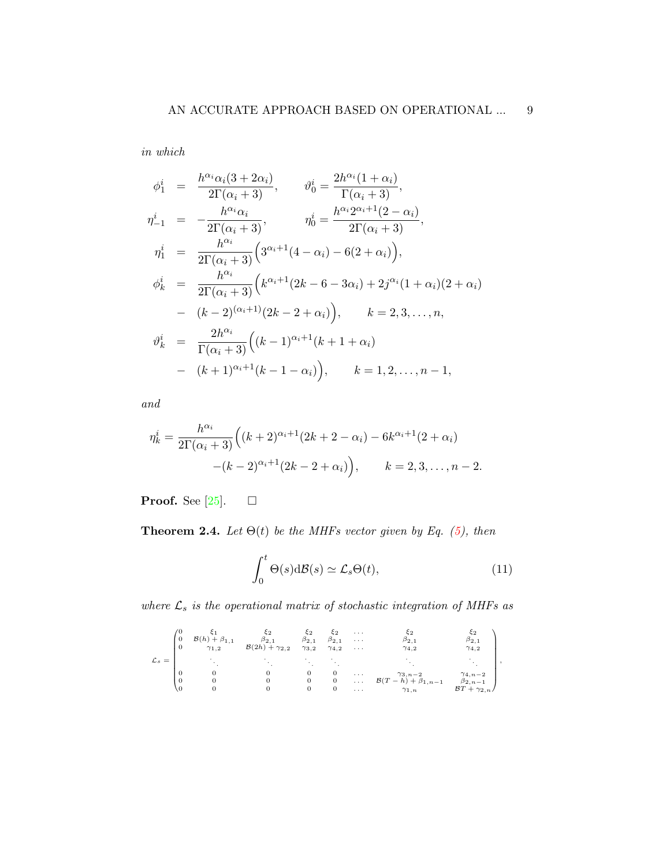in which

$$
\phi_1^i = \frac{h^{\alpha_i} \alpha_i (3 + 2\alpha_i)}{2\Gamma(\alpha_i + 3)}, \qquad \vartheta_0^i = \frac{2h^{\alpha_i} (1 + \alpha_i)}{\Gamma(\alpha_i + 3)}, \n\eta_{-1}^i = -\frac{h^{\alpha_i} \alpha_i}{2\Gamma(\alpha_i + 3)}, \qquad \eta_0^i = \frac{h^{\alpha_i} 2^{\alpha_i + 1} (2 - \alpha_i)}{2\Gamma(\alpha_i + 3)}, \n\eta_1^i = \frac{h^{\alpha_i}}{2\Gamma(\alpha_i + 3)} \left( 3^{\alpha_i + 1} (4 - \alpha_i) - 6(2 + \alpha_i) \right), \n\phi_k^i = \frac{h^{\alpha_i}}{2\Gamma(\alpha_i + 3)} \left( k^{\alpha_i + 1} (2k - 6 - 3\alpha_i) + 2j^{\alpha_i} (1 + \alpha_i) (2 + \alpha_i) \right) \n- (k - 2)^{(\alpha_i + 1)} (2k - 2 + \alpha_i) , \qquad k = 2, 3, ..., n, \n\vartheta_k^i = \frac{2h^{\alpha_i}}{\Gamma(\alpha_i + 3)} \left( (k - 1)^{\alpha_i + 1} (k + 1 + \alpha_i) \right) \n- (k + 1)^{\alpha_i + 1} (k - 1 - \alpha_i) , \qquad k = 1, 2, ..., n - 1,
$$

and

$$
\eta_k^i = \frac{h^{\alpha_i}}{2\Gamma(\alpha_i+3)} \Big( (k+2)^{\alpha_i+1} (2k+2-\alpha_i) - 6k^{\alpha_i+1} (2+\alpha_i) - (k-2)^{\alpha_i+1} (2k-2+\alpha_i) \Big), \qquad k = 2, 3, \dots, n-2.
$$

**Proof.** See [\[25\]](#page-26-9).  $\Box$ 

**Theorem 2.4.** Let  $\Theta(t)$  be the MHFs vector given by Eq. [\(5\)](#page-6-0), then

$$
\int_0^t \Theta(s) \, \mathrm{d}\mathcal{B}(s) \simeq \mathcal{L}_s \Theta(t),\tag{11}
$$

where  $\mathcal{L}_s$  is the operational matrix of stochastic integration of MHFs as

$$
\mathcal{L}_s = \begin{pmatrix} 0 & \xi_1 & \xi_2 & \xi_2 & \xi_2 & \dots & \xi_2 & \xi_2 \\ 0 & \mathcal{B}(h) + \beta_{1,1} & \beta_{2,1} & \beta_{2,1} & \beta_{2,1} & \dots & \beta_{2,1} \\ 0 & \gamma_{1,2} & \mathcal{B}(2h) + \gamma_{2,2} & \gamma_{3,2} & \gamma_{4,2} & \dots & \gamma_{4,2} & \gamma_{4,2} \\ \cdot & \cdot & \cdot & \cdot & \cdot & \cdot & \cdot \\ \cdot & \cdot & \cdot & \cdot & \cdot & \cdot \\ 0 & 0 & 0 & 0 & \dots & \gamma_{3,n-2} & \gamma_{4,n-2} \\ 0 & 0 & 0 & 0 & \dots & \mathcal{B}(T-h) + \beta_{1,n-1} & \beta_{2,n-1} \\ 0 & 0 & 0 & 0 & \dots & \gamma_{1,n} & \mathcal{B} T + \gamma_{2,n} \end{pmatrix},
$$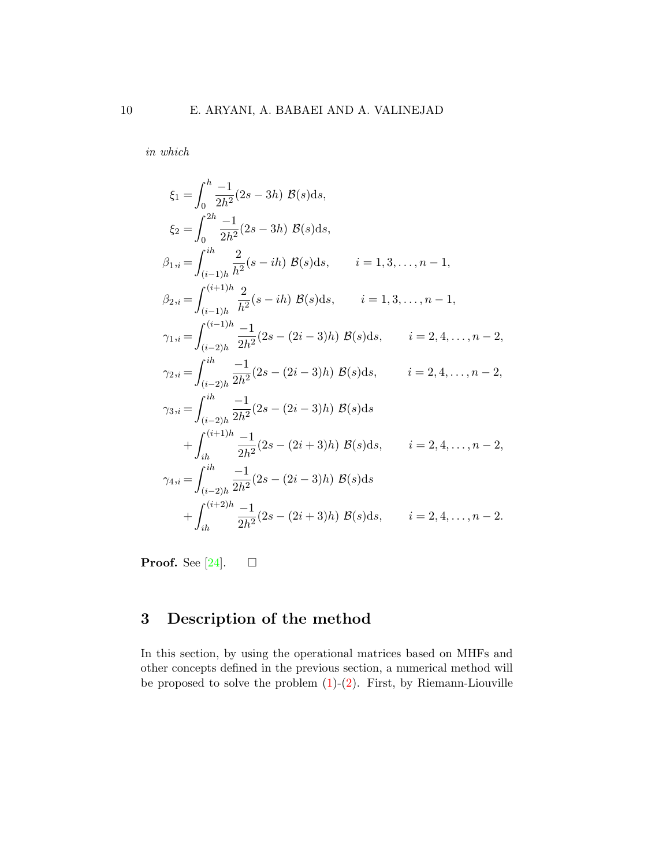in which

$$
\xi_{1} = \int_{0}^{h} \frac{-1}{2h^{2}} (2s - 3h) \mathcal{B}(s) ds,
$$
\n
$$
\xi_{2} = \int_{0}^{2h} \frac{-1}{2h^{2}} (2s - 3h) \mathcal{B}(s) ds,
$$
\n
$$
\beta_{1,i} = \int_{(i-1)h}^{ih} \frac{2}{h^{2}} (s - ih) \mathcal{B}(s) ds, \qquad i = 1, 3, ..., n - 1,
$$
\n
$$
\beta_{2,i} = \int_{(i-1)h}^{(i+1)h} \frac{2}{h^{2}} (s - ih) \mathcal{B}(s) ds, \qquad i = 1, 3, ..., n - 1,
$$
\n
$$
\gamma_{1,i} = \int_{(i-2)h}^{(i-1)h} \frac{-1}{2h^{2}} (2s - (2i - 3)h) \mathcal{B}(s) ds, \qquad i = 2, 4, ..., n - 2,
$$
\n
$$
\gamma_{2,i} = \int_{(i-2)h}^{ih} \frac{-1}{2h^{2}} (2s - (2i - 3)h) \mathcal{B}(s) ds, \qquad i = 2, 4, ..., n - 2,
$$
\n
$$
\gamma_{3,i} = \int_{(i-2)h}^{ih} \frac{-1}{2h^{2}} (2s - (2i - 3)h) \mathcal{B}(s) ds, \qquad i = 2, 4, ..., n - 2,
$$
\n
$$
\gamma_{4,i} = \int_{(i-2)h}^{(i+1)h} \frac{-1}{2h^{2}} (2s - (2i + 3)h) \mathcal{B}(s) ds, \qquad i = 2, 4, ..., n - 2,
$$
\n
$$
\gamma_{4,i} = \int_{(i-2)h}^{ih} \frac{-1}{2h^{2}} (2s - (2i - 3)h) \mathcal{B}(s) ds, \qquad i = 2, 4, ..., n - 2.
$$

**Proof.** See [\[24\]](#page-26-8).  $\Box$ 

# 3 Description of the method

In this section, by using the operational matrices based on MHFs and other concepts defined in the previous section, a numerical method will be proposed to solve the problem  $(1)-(2)$  $(1)-(2)$ . First, by Riemann-Liouville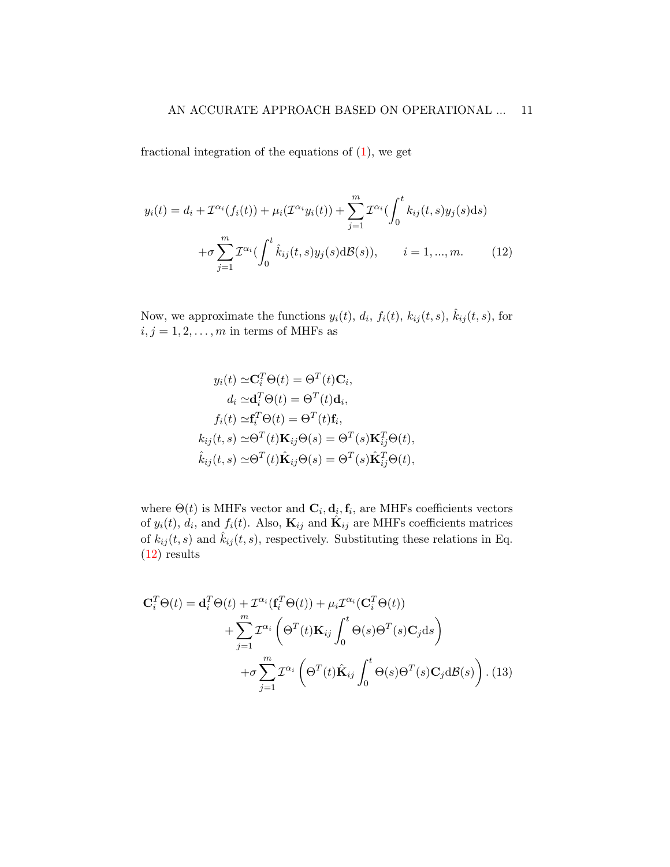fractional integration of the equations of  $(1)$ , we get

<span id="page-10-0"></span>
$$
y_i(t) = d_i + \mathcal{I}^{\alpha_i}(f_i(t)) + \mu_i(\mathcal{I}^{\alpha_i}y_i(t)) + \sum_{j=1}^m \mathcal{I}^{\alpha_i}\left(\int_0^t k_{ij}(t,s)y_j(s)ds\right) + \sigma \sum_{j=1}^m \mathcal{I}^{\alpha_i}\left(\int_0^t \hat{k}_{ij}(t,s)y_j(s)dB(s)\right), \qquad i = 1, ..., m.
$$
 (12)

Now, we approximate the functions  $y_i(t)$ ,  $d_i$ ,  $f_i(t)$ ,  $k_{ij}(t, s)$ ,  $\hat{k}_{ij}(t, s)$ , for  $i,j=1,2,\ldots,m$  in terms of MHFs as

<span id="page-10-1"></span>
$$
y_i(t) \approx \mathbf{C}_i^T \Theta(t) = \Theta^T(t) \mathbf{C}_i,
$$
  
\n
$$
d_i \approx \mathbf{d}_i^T \Theta(t) = \Theta^T(t) \mathbf{d}_i,
$$
  
\n
$$
f_i(t) \approx \mathbf{f}_i^T \Theta(t) = \Theta^T(t) \mathbf{f}_i,
$$
  
\n
$$
k_{ij}(t, s) \approx \Theta^T(t) \mathbf{K}_{ij} \Theta(s) = \Theta^T(s) \mathbf{K}_{ij}^T \Theta(t),
$$
  
\n
$$
\hat{k}_{ij}(t, s) \approx \Theta^T(t) \hat{\mathbf{K}}_{ij} \Theta(s) = \Theta^T(s) \hat{\mathbf{K}}_{ij}^T \Theta(t),
$$

where  $\Theta(t)$  is MHFs vector and  $\mathbf{C}_i, \mathbf{d}_i, \mathbf{f}_i$ , are MHFs coefficients vectors of  $y_i(t)$ ,  $d_i$ , and  $f_i(t)$ . Also,  $\mathbf{K}_{ij}$  and  $\hat{\mathbf{K}}_{ij}$  are MHFs coefficients matrices of  $k_{ij}(t, s)$  and  $\hat{k}_{ij}(t, s)$ , respectively. Substituting these relations in Eq. [\(12\)](#page-10-0) results

$$
\mathbf{C}_{i}^{T}\Theta(t) = \mathbf{d}_{i}^{T}\Theta(t) + \mathcal{I}^{\alpha_{i}}(\mathbf{f}_{i}^{T}\Theta(t)) + \mu_{i}\mathcal{I}^{\alpha_{i}}(\mathbf{C}_{i}^{T}\Theta(t)) + \sum_{j=1}^{m} \mathcal{I}^{\alpha_{i}}\left(\Theta^{T}(t)\mathbf{K}_{ij}\int_{0}^{t} \Theta(s)\Theta^{T}(s)\mathbf{C}_{j}\mathrm{d}s\right) + \sigma \sum_{j=1}^{m} \mathcal{I}^{\alpha_{i}}\left(\Theta^{T}(t)\hat{\mathbf{K}}_{ij}\int_{0}^{t} \Theta(s)\Theta^{T}(s)\mathbf{C}_{j}\mathrm{d}\mathcal{B}(s)\right). (13)
$$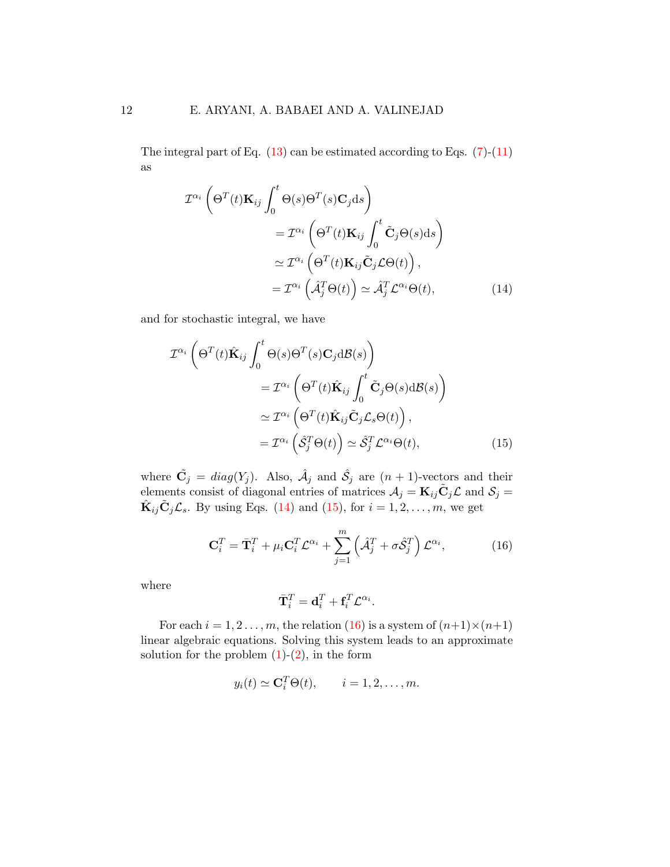The integral part of Eq.  $(13)$  can be estimated according to Eqs.  $(7)-(11)$  $(7)-(11)$ as

<span id="page-11-0"></span>
$$
\mathcal{I}^{\alpha_i} \left( \Theta^T(t) \mathbf{K}_{ij} \int_0^t \Theta(s) \Theta^T(s) \mathbf{C}_j ds \right)
$$
  
\n
$$
= \mathcal{I}^{\alpha_i} \left( \Theta^T(t) \mathbf{K}_{ij} \int_0^t \tilde{\mathbf{C}}_j \Theta(s) ds \right)
$$
  
\n
$$
\simeq \mathcal{I}^{\alpha_i} \left( \Theta^T(t) \mathbf{K}_{ij} \tilde{\mathbf{C}}_j \mathcal{L} \Theta(t) \right),
$$
  
\n
$$
= \mathcal{I}^{\alpha_i} \left( \hat{\mathcal{A}}_j^T \Theta(t) \right) \simeq \hat{\mathcal{A}}_j^T \mathcal{L}^{\alpha_i} \Theta(t), \tag{14}
$$

and for stochastic integral, we have

<span id="page-11-1"></span>
$$
\mathcal{I}^{\alpha_{i}}\left(\Theta^{T}(t)\hat{\mathbf{K}}_{ij}\int_{0}^{t}\Theta(s)\Theta^{T}(s)\mathbf{C}_{j}\mathrm{d}\mathcal{B}(s)\right)
$$

$$
=\mathcal{I}^{\alpha_{i}}\left(\Theta^{T}(t)\hat{\mathbf{K}}_{ij}\int_{0}^{t}\tilde{\mathbf{C}}_{j}\Theta(s)\mathrm{d}\mathcal{B}(s)\right)
$$

$$
\simeq\mathcal{I}^{\alpha_{i}}\left(\Theta^{T}(t)\hat{\mathbf{K}}_{ij}\tilde{\mathbf{C}}_{j}\mathcal{L}_{s}\Theta(t)\right),
$$

$$
=\mathcal{I}^{\alpha_{i}}\left(\hat{\mathcal{S}}_{j}^{T}\Theta(t)\right)\simeq\hat{\mathcal{S}}_{j}^{T}\mathcal{L}^{\alpha_{i}}\Theta(t),
$$
(15)

where  $\tilde{\mathbf{C}}_j = diag(Y_j)$ . Also,  $\hat{\mathcal{A}}_j$  and  $\hat{\mathcal{S}}_j$  are  $(n + 1)$ -vectors and their elements consist of diagonal entries of matrices  $\mathcal{A}_j = \mathbf{K}_{ij} \tilde{\mathbf{C}}_j \mathcal{L}$  and  $\mathcal{S}_j =$  $\hat{\mathbf{K}}_{ij}\tilde{\mathbf{C}}_j\mathcal{L}_s$ . By using Eqs. [\(14\)](#page-11-0) and [\(15\)](#page-11-1), for  $i=1,2,\ldots,m$ , we get

<span id="page-11-2"></span>
$$
\mathbf{C}_i^T = \bar{\mathbf{T}}_i^T + \mu_i \mathbf{C}_i^T \mathcal{L}^{\alpha_i} + \sum_{j=1}^m \left( \hat{\mathcal{A}}_j^T + \sigma \hat{\mathcal{S}}_j^T \right) \mathcal{L}^{\alpha_i}, \tag{16}
$$

where

$$
\bar{\mathbf{T}}_i^T = \mathbf{d}_i^T + \mathbf{f}_i^T \mathcal{L}^{\alpha_i}.
$$

For each  $i = 1, 2, \ldots, m$ , the relation [\(16\)](#page-11-2) is a system of  $(n+1) \times (n+1)$ linear algebraic equations. Solving this system leads to an approximate solution for the problem  $(1)-(2)$  $(1)-(2)$ , in the form

$$
y_i(t) \simeq \mathbf{C}_i^T \Theta(t), \qquad i = 1, 2, \dots, m.
$$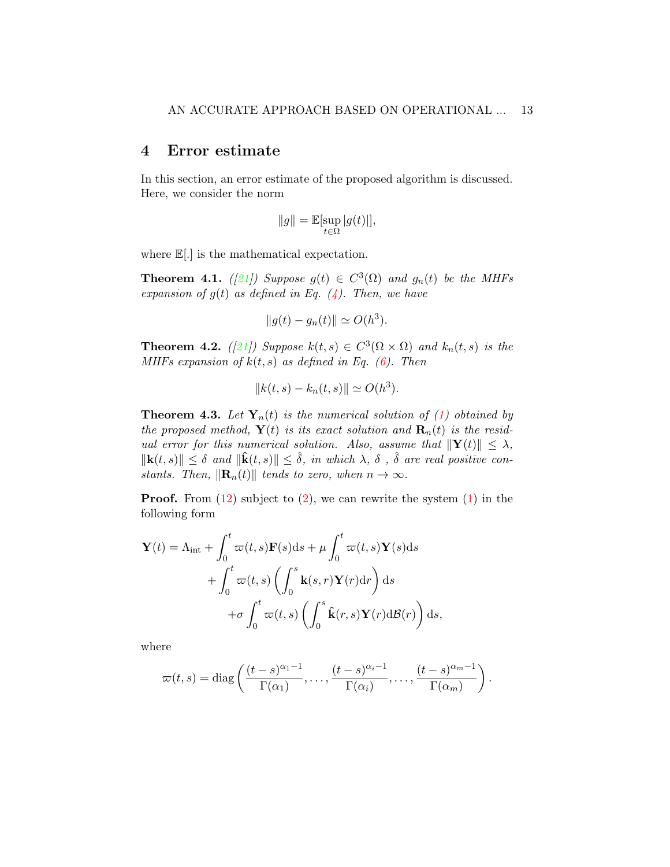## 4 Error estimate

In this section, an error estimate of the proposed algorithm is discussed. Here, we consider the norm

$$
||g|| = \mathbb{E}[\sup_{t \in \Omega} |g(t)|],
$$

where  $\mathbb{E}[.]$  is the mathematical expectation.

<span id="page-12-0"></span>**Theorem 4.1.** ([\[21\]](#page-25-9)) Suppose  $g(t) \in C^3(\Omega)$  and  $g_n(t)$  be the MHFs expansion of  $g(t)$  as defined in Eq. [\(4\)](#page-6-2). Then, we have

$$
||g(t) - g_n(t)|| \simeq O(h^3).
$$

<span id="page-12-1"></span>**Theorem 4.2.** ([\[21\]](#page-25-9)) Suppose  $k(t,s) \in C^3(\Omega \times \Omega)$  and  $k_n(t,s)$  is the MHFs expansion of  $k(t, s)$  as defined in Eq. [\(6\)](#page-6-3). Then

$$
||k(t,s) - k_n(t,s)|| \simeq O(h^3).
$$

**Theorem 4.3.** Let  $Y_n(t)$  is the numerical solution of [\(1\)](#page-2-0) obtained by the proposed method,  $\mathbf{Y}(t)$  is its exact solution and  $\mathbf{R}_n(t)$  is the residual error for this numerical solution. Also, assume that  $\|\mathbf{Y}(t)\| \leq \lambda$ ,  $\|\mathbf{k}(t,s)\| \leq \delta$  and  $\|\hat{\mathbf{k}}(t,s)\| \leq \hat{\delta}$ , in which  $\lambda$ ,  $\delta$ ,  $\hat{\delta}$  are real positive constants. Then,  $\|\mathbf{R}_n(t)\|$  tends to zero, when  $n \to \infty$ .

**Proof.** From  $(12)$  subject to  $(2)$ , we can rewrite the system  $(1)$  in the following form

$$
\mathbf{Y}(t) = \Lambda_{int} + \int_{0}^{t} \varpi(t, s) \mathbf{F}(s) ds + \mu \int_{0}^{t} \varpi(t, s) \mathbf{Y}(s) ds + \int_{0}^{t} \varpi(t, s) \left( \int_{0}^{s} \mathbf{k}(s, r) \mathbf{Y}(r) dr \right) ds + \sigma \int_{0}^{t} \varpi(t, s) \left( \int_{0}^{s} \mathbf{\hat{k}}(r, s) \mathbf{Y}(r) d\mathcal{B}(r) \right) ds,
$$

where

$$
\varpi(t,s)=\mathrm{diag}\left(\frac{(t-s)^{\alpha_1-1}}{\Gamma(\alpha_1)},\ldots,\frac{(t-s)^{\alpha_i-1}}{\Gamma(\alpha_i)},\ldots,\frac{(t-s)^{\alpha_m-1}}{\Gamma(\alpha_m)}\right).
$$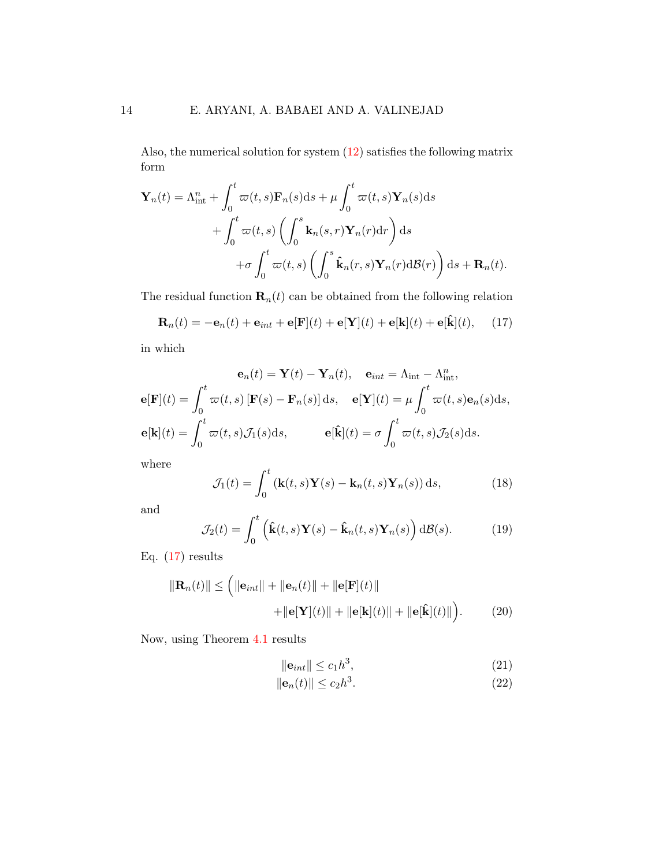Also, the numerical solution for system [\(12\)](#page-10-0) satisfies the following matrix form

$$
\mathbf{Y}_{n}(t) = \Lambda_{\text{int}}^{n} + \int_{0}^{t} \varpi(t, s) \mathbf{F}_{n}(s) ds + \mu \int_{0}^{t} \varpi(t, s) \mathbf{Y}_{n}(s) ds + \int_{0}^{t} \varpi(t, s) \left( \int_{0}^{s} \mathbf{k}_{n}(s, r) \mathbf{Y}_{n}(r) dr \right) ds + \sigma \int_{0}^{t} \varpi(t, s) \left( \int_{0}^{s} \hat{\mathbf{k}}_{n}(r, s) \mathbf{Y}_{n}(r) d\mathcal{B}(r) \right) ds + \mathbf{R}_{n}(t).
$$

The residual function  $\mathbf{R}_n(t)$  can be obtained from the following relation

<span id="page-13-1"></span><span id="page-13-0"></span>
$$
\mathbf{R}_n(t) = -\mathbf{e}_n(t) + \mathbf{e}_{int} + \mathbf{e}[\mathbf{F}](t) + \mathbf{e}[\mathbf{Y}](t) + \mathbf{e}[\mathbf{k}](t) + \mathbf{e}[\hat{\mathbf{k}}](t), \quad (17)
$$

in which

$$
\mathbf{e}_n(t) = \mathbf{Y}(t) - \mathbf{Y}_n(t), \quad \mathbf{e}_{int} = \Lambda_{int} - \Lambda_{int}^n,
$$
  

$$
\mathbf{e}[\mathbf{F}](t) = \int_0^t \varpi(t, s) [\mathbf{F}(s) - \mathbf{F}_n(s)] ds, \quad \mathbf{e}[\mathbf{Y}](t) = \mu \int_0^t \varpi(t, s) \mathbf{e}_n(s) ds,
$$
  

$$
\mathbf{e}[\mathbf{k}](t) = \int_0^t \varpi(t, s) \mathcal{J}_1(s) ds, \qquad \mathbf{e}[\hat{\mathbf{k}}](t) = \sigma \int_0^t \varpi(t, s) \mathcal{J}_2(s) ds.
$$

where

$$
\mathcal{J}_1(t) = \int_0^t \left( \mathbf{k}(t,s) \mathbf{Y}(s) - \mathbf{k}_n(t,s) \mathbf{Y}_n(s) \right) ds,
$$
\n(18)

and

<span id="page-13-2"></span>
$$
\mathcal{J}_2(t) = \int_0^t \left( \hat{\mathbf{k}}(t,s) \mathbf{Y}(s) - \hat{\mathbf{k}}_n(t,s) \mathbf{Y}_n(s) \right) d\mathcal{B}(s).
$$
 (19)

Eq.  $(17)$  results

<span id="page-13-3"></span>
$$
\|\mathbf{R}_n(t)\| \leq \left( \|\mathbf{e}_{int}\| + \|\mathbf{e}_n(t)\| + \|\mathbf{e}[\mathbf{F}](t)\| + \|\mathbf{e}[\mathbf{F}](t)\| + \|\mathbf{e}[\hat{\mathbf{k}}](t)\| + \|\mathbf{e}[\hat{\mathbf{k}}](t)\| \right). \tag{20}
$$

Now, using Theorem [4.1](#page-12-0) results

$$
\|\mathbf{e}_{int}\| \le c_1 h^3,\tag{21}
$$

$$
\|\mathbf{e}_n(t)\| \le c_2 h^3. \tag{22}
$$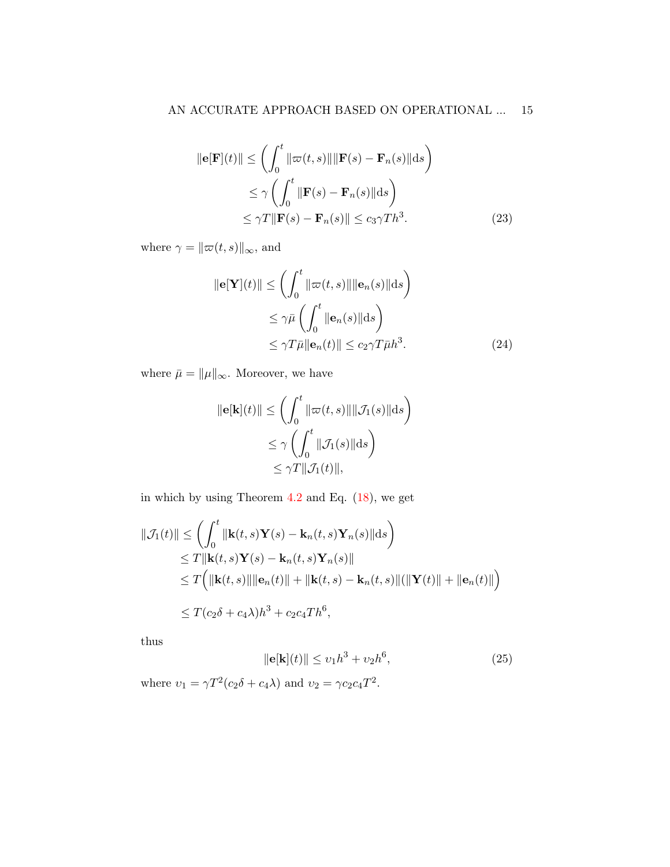$$
\|\mathbf{e}[\mathbf{F}](t)\| \leq \left(\int_0^t \|\varpi(t,s)\| \|\mathbf{F}(s) - \mathbf{F}_n(s)\| ds\right)
$$
  
\n
$$
\leq \gamma \left(\int_0^t \|\mathbf{F}(s) - \mathbf{F}_n(s)\| ds\right)
$$
  
\n
$$
\leq \gamma T \|\mathbf{F}(s) - \mathbf{F}_n(s)\| \leq c_3 \gamma T h^3.
$$
 (23)

where  $\gamma = \|\varpi(t, s)\|_\infty,$  and

$$
\|\mathbf{e}[\mathbf{Y}](t)\| \le \left(\int_0^t \|\varpi(t,s)\| \|\mathbf{e}_n(s)\| \mathrm{d}s\right)
$$
  
\n
$$
\le \gamma \bar{\mu} \left(\int_0^t \|\mathbf{e}_n(s)\| \mathrm{d}s\right)
$$
  
\n
$$
\le \gamma T \bar{\mu} \|\mathbf{e}_n(t)\| \le c_2 \gamma T \bar{\mu} h^3. \tag{24}
$$

where  $\bar{\mu}=\|\mu\|_{\infty}.$  Moreover, we have

$$
\|\mathbf{e}[\mathbf{k}](t)\| \leq \left(\int_0^t \|\varpi(t,s)\| \|\mathcal{J}_1(s)\| ds\right)
$$
  

$$
\leq \gamma \left(\int_0^t \|\mathcal{J}_1(s)\| ds\right)
$$
  

$$
\leq \gamma T \|\mathcal{J}_1(t)\|,
$$

in which by using Theorem [4.2](#page-12-1) and Eq. [\(18\)](#page-13-1), we get

$$
\|\mathcal{J}_1(t)\| \leq \left(\int_0^t \|\mathbf{k}(t,s)\mathbf{Y}(s) - \mathbf{k}_n(t,s)\mathbf{Y}_n(s)\|\mathrm{d}s\right)
$$
  
\n
$$
\leq T \|\mathbf{k}(t,s)\mathbf{Y}(s) - \mathbf{k}_n(t,s)\mathbf{Y}_n(s)\|
$$
  
\n
$$
\leq T \Big(\|\mathbf{k}(t,s)\|\|\mathbf{e}_n(t)\| + \|\mathbf{k}(t,s) - \mathbf{k}_n(t,s)\|(\|\mathbf{Y}(t)\| + \|\mathbf{e}_n(t)\| \Big)
$$
  
\n
$$
\leq T(c_2\delta + c_4\lambda)h^3 + c_2c_4Th^6,
$$

thus

$$
\|\mathbf{e}[\mathbf{k}](t)\| \le v_1 h^3 + v_2 h^6,\tag{25}
$$

where  $v_1 = \gamma T^2 (c_2 \delta + c_4 \lambda)$  and  $v_2 = \gamma c_2 c_4 T^2$ .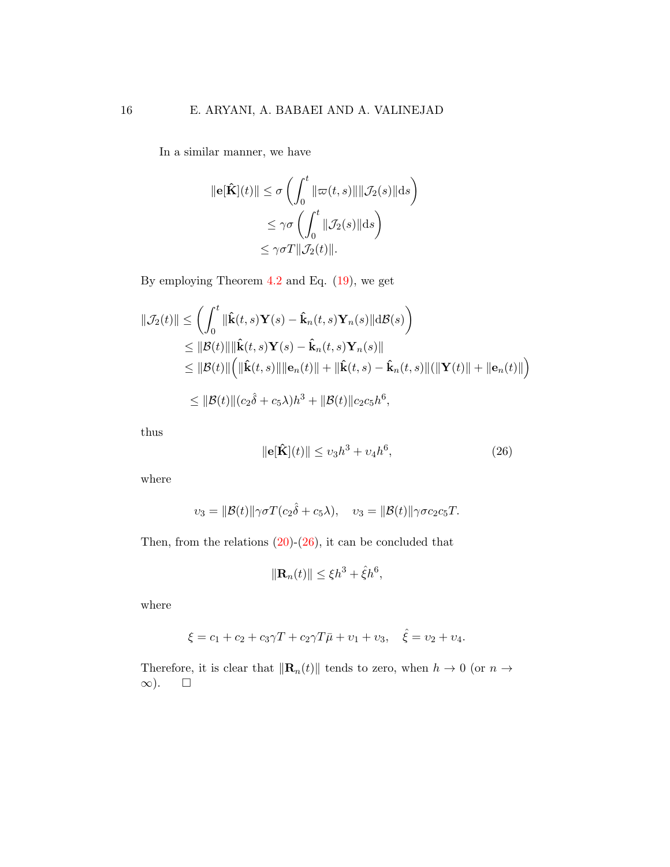In a similar manner, we have

$$
\|\mathbf{e}[\hat{\mathbf{K}}](t)\| \leq \sigma \left( \int_0^t \|\varpi(t,s)\| \|\mathcal{J}_2(s)\| ds \right)
$$
  

$$
\leq \gamma \sigma \left( \int_0^t \|\mathcal{J}_2(s)\| ds \right)
$$
  

$$
\leq \gamma \sigma T \|\mathcal{J}_2(t)\|.
$$

By employing Theorem [4.2](#page-12-1) and Eq. [\(19\)](#page-13-2), we get

$$
\|\mathcal{J}_2(t)\| \leq \left(\int_0^t \|\hat{\mathbf{k}}(t,s)\mathbf{Y}(s) - \hat{\mathbf{k}}_n(t,s)\mathbf{Y}_n(s)\|\mathrm{d}\mathcal{B}(s)\right)
$$
  
\n
$$
\leq \|\mathcal{B}(t)\| \|\hat{\mathbf{k}}(t,s)\mathbf{Y}(s) - \hat{\mathbf{k}}_n(t,s)\mathbf{Y}_n(s)\|
$$
  
\n
$$
\leq \|\mathcal{B}(t)\| \left(\|\hat{\mathbf{k}}(t,s)\|\|\mathbf{e}_n(t)\| + \|\hat{\mathbf{k}}(t,s) - \hat{\mathbf{k}}_n(t,s)\| (\|\mathbf{Y}(t)\| + \|\mathbf{e}_n(t)\|)\right)
$$
  
\n
$$
\leq \|\mathcal{B}(t)\| (c_2\hat{\delta} + c_5\lambda)h^3 + \|\mathcal{B}(t)\| c_2c_5h^6,
$$

thus

<span id="page-15-0"></span>
$$
\|\mathbf{e}[\hat{\mathbf{K}}](t)\| \le v_3 h^3 + v_4 h^6,\tag{26}
$$

where

$$
v_3 = \|\mathcal{B}(t)\|\gamma\sigma T(c_2\hat{\delta} + c_5\lambda), \quad v_3 = \|\mathcal{B}(t)\|\gamma\sigma c_2c_5T.
$$

Then, from the relations  $(20)-(26)$  $(20)-(26)$ , it can be concluded that

$$
\|\mathbf{R}_n(t)\| \le \xi h^3 + \hat{\xi} h^6,
$$

where

$$
\xi = c_1 + c_2 + c_3 \gamma T + c_2 \gamma T \bar{\mu} + v_1 + v_3, \quad \hat{\xi} = v_2 + v_4.
$$

Therefore, it is clear that  $\|\mathbf{R}_n(t)\|$  tends to zero, when  $h \to 0$  (or  $n \to$ ∞).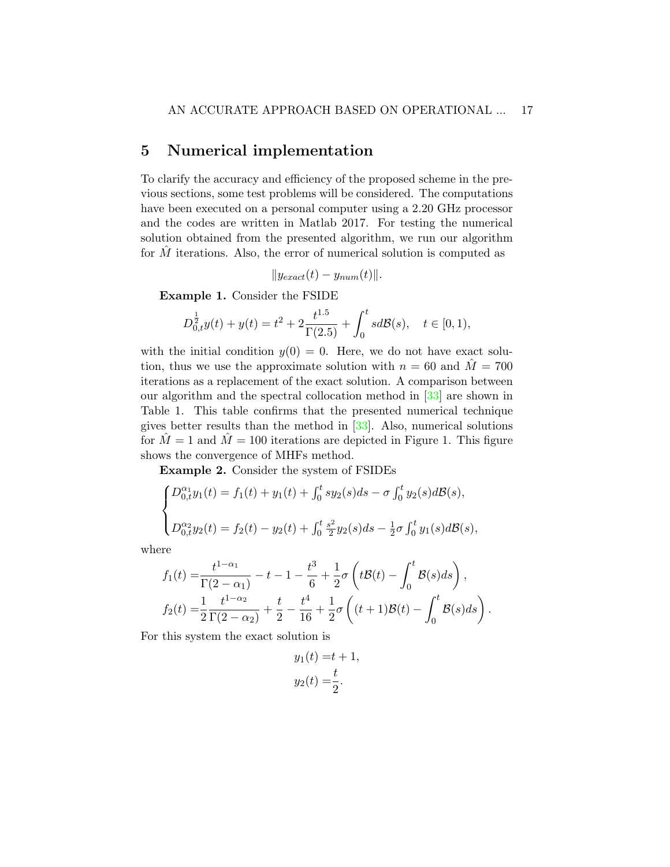# 5 Numerical implementation

To clarify the accuracy and efficiency of the proposed scheme in the previous sections, some test problems will be considered. The computations have been executed on a personal computer using a 2.20 GHz processor and the codes are written in Matlab 2017. For testing the numerical solution obtained from the presented algorithm, we run our algorithm for  $M$  iterations. Also, the error of numerical solution is computed as

$$
||y_{exact}(t) - y_{num}(t)||.
$$

Example 1. Consider the FSIDE

$$
D_{0,t}^{\frac{1}{2}}y(t) + y(t) = t^2 + 2\frac{t^{1.5}}{\Gamma(2.5)} + \int_0^t s d\mathcal{B}(s), \quad t \in [0,1),
$$

with the initial condition  $y(0) = 0$ . Here, we do not have exact solution, thus we use the approximate solution with  $n = 60$  and  $\tilde{M} = 700$ iterations as a replacement of the exact solution. A comparison between our algorithm and the spectral collocation method in [\[33\]](#page-27-1) are shown in Table 1. This table confirms that the presented numerical technique gives better results than the method in [\[33\]](#page-27-1). Also, numerical solutions for  $\tilde{M}=1$  and  $\tilde{M}=100$  iterations are depicted in Figure 1. This figure shows the convergence of MHFs method.

Example 2. Consider the system of FSIDEs

$$
\begin{cases}\nD_{0,t}^{\alpha_1}y_1(t) = f_1(t) + y_1(t) + \int_0^t sy_2(s)ds - \sigma \int_0^t y_2(s)dB(s), \\
D_{0,t}^{\alpha_2}y_2(t) = f_2(t) - y_2(t) + \int_0^t \frac{s^2}{2}y_2(s)ds - \frac{1}{2}\sigma \int_0^t y_1(s)dB(s),\n\end{cases}
$$

where

$$
f_1(t) = \frac{t^{1-\alpha_1}}{\Gamma(2-\alpha_1)} - t - 1 - \frac{t^3}{6} + \frac{1}{2}\sigma\left(t\mathcal{B}(t) - \int_0^t \mathcal{B}(s)ds\right),
$$
  

$$
f_2(t) = \frac{1}{2}\frac{t^{1-\alpha_2}}{\Gamma(2-\alpha_2)} + \frac{t}{2} - \frac{t^4}{16} + \frac{1}{2}\sigma\left((t+1)\mathcal{B}(t) - \int_0^t \mathcal{B}(s)ds\right).
$$

For this system the exact solution is

$$
y_1(t) = t + 1,
$$
  
 $y_2(t) = \frac{t}{2}.$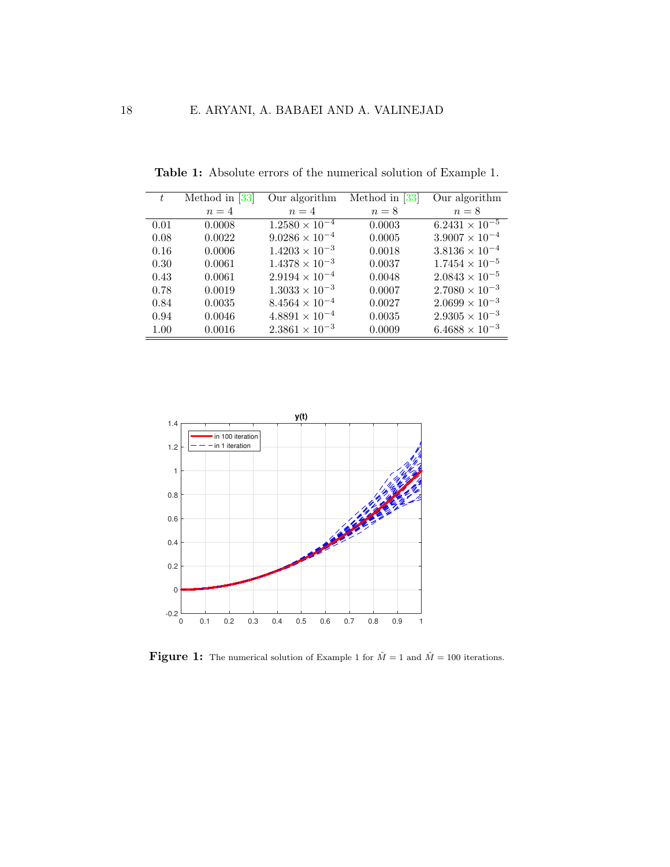| ŧ    | Method in $[33]$ | Our algorithm           | Method in $[33]$ | Our algorithm           |
|------|------------------|-------------------------|------------------|-------------------------|
|      | $n=4$            | $n=4$                   | $n=8$            | $n=8$                   |
| 0.01 | 0.0008           | $1.2580 \times 10^{-4}$ | 0.0003           | $6.2431 \times 10^{-5}$ |
| 0.08 | 0.0022           | $9.0286 \times 10^{-4}$ | 0.0005           | $3.9007 \times 10^{-4}$ |
| 0.16 | 0.0006           | $1.4203 \times 10^{-3}$ | 0.0018           | $3.8136\times10^{-4}$   |
| 0.30 | 0.0061           | $1.4378 \times 10^{-3}$ | 0.0037           | $1.7454 \times 10^{-5}$ |
| 0.43 | 0.0061           | $2.9194 \times 10^{-4}$ | 0.0048           | $2.0843 \times 10^{-5}$ |
| 0.78 | 0.0019           | $1.3033 \times 10^{-3}$ | 0.0007           | $2.7080 \times 10^{-3}$ |
| 0.84 | 0.0035           | $8.4564 \times 10^{-4}$ | 0.0027           | $2.0699 \times 10^{-3}$ |
| 0.94 | 0.0046           | $4.8891 \times 10^{-4}$ | 0.0035           | $2.9305\times10^{-3}$   |
| 1.00 | 0.0016           | $2.3861 \times 10^{-3}$ | 0.0009           | $6.4688 \times 10^{-3}$ |

Table 1: Absolute errors of the numerical solution of Example 1.



**Figure 1:** The numerical solution of Example 1 for  $\hat{M} = 1$  and  $\hat{M} = 100$  iterations.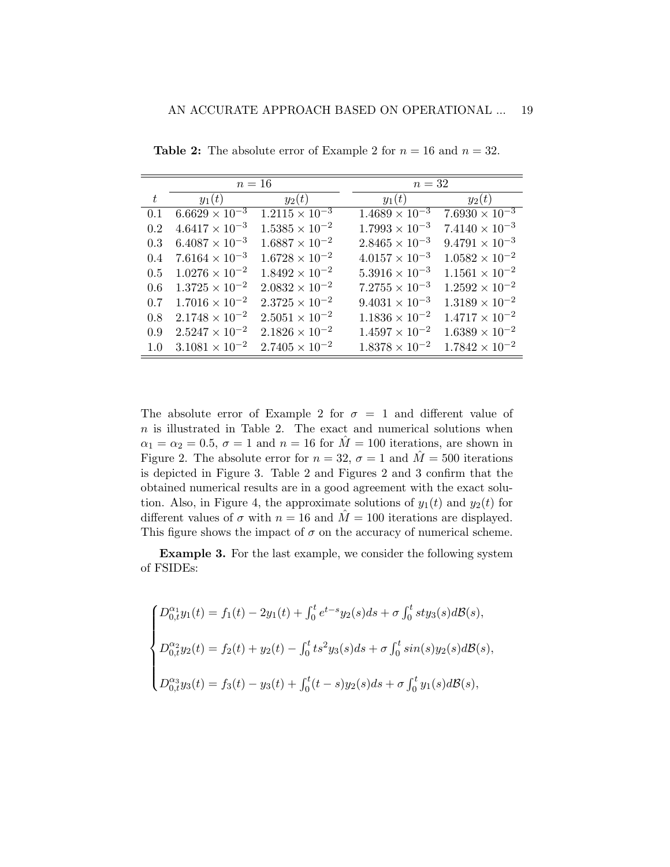|       |                         | $n=16$                  |                         | $n=32$                  |  |  |  |  |
|-------|-------------------------|-------------------------|-------------------------|-------------------------|--|--|--|--|
| $t\,$ | $y_1(t)$                | $y_2(t)$                | $y_1(t)$                | $y_2(t)$                |  |  |  |  |
| 0.1   | $6.6629 \times 10^{-3}$ | $1.2115 \times 10^{-3}$ | $1.4689 \times 10^{-3}$ | $7.6930 \times 10^{-3}$ |  |  |  |  |
| 0.2   | $4.6417 \times 10^{-3}$ | $1.5385 \times 10^{-2}$ | $1.7993 \times 10^{-3}$ | $7.4140 \times 10^{-3}$ |  |  |  |  |
| 0.3   | $6.4087 \times 10^{-3}$ | $1.6887 \times 10^{-2}$ | $2.8465 \times 10^{-3}$ | $9.4791 \times 10^{-3}$ |  |  |  |  |
| 0.4   | $7.6164 \times 10^{-3}$ | $1.6728 \times 10^{-2}$ | $4.0157 \times 10^{-3}$ | $1.0582 \times 10^{-2}$ |  |  |  |  |
| 0.5   | $1.0276 \times 10^{-2}$ | $1.8492 \times 10^{-2}$ | $5.3916 \times 10^{-3}$ | $1.1561 \times 10^{-2}$ |  |  |  |  |
| 0.6   | $1.3725 \times 10^{-2}$ | $2.0832 \times 10^{-2}$ | $7.2755 \times 10^{-3}$ | $1.2592 \times 10^{-2}$ |  |  |  |  |
| 0.7   | $1.7016 \times 10^{-2}$ | $2.3725 \times 10^{-2}$ | $9.4031 \times 10^{-3}$ | $1.3189 \times 10^{-2}$ |  |  |  |  |
| 0.8   | $2.1748 \times 10^{-2}$ | $2.5051 \times 10^{-2}$ | $1.1836 \times 10^{-2}$ | $1.4717 \times 10^{-2}$ |  |  |  |  |
| 0.9   | $2.5247 \times 10^{-2}$ | $2.1826 \times 10^{-2}$ | $1.4597 \times 10^{-2}$ | $1.6389 \times 10^{-2}$ |  |  |  |  |
| 1.0   | $3.1081 \times 10^{-2}$ | $2.7405 \times 10^{-2}$ | $1.8378 \times 10^{-2}$ | $1.7842 \times 10^{-2}$ |  |  |  |  |

**Table 2:** The absolute error of Example 2 for  $n = 16$  and  $n = 32$ .

The absolute error of Example 2 for  $\sigma = 1$  and different value of  $n$  is illustrated in Table 2. The exact and numerical solutions when  $\alpha_1 = \alpha_2 = 0.5, \sigma = 1$  and  $n = 16$  for  $\overline{M} = 100$  iterations, are shown in Figure 2. The absolute error for  $n = 32$ ,  $\sigma = 1$  and  $M = 500$  iterations is depicted in Figure 3. Table 2 and Figures 2 and 3 confirm that the obtained numerical results are in a good agreement with the exact solution. Also, in Figure 4, the approximate solutions of  $y_1(t)$  and  $y_2(t)$  for different values of  $\sigma$  with  $n = 16$  and  $\hat{M} = 100$  iterations are displayed. This figure shows the impact of  $\sigma$  on the accuracy of numerical scheme.

Example 3. For the last example, we consider the following system of FSIDEs:

$$
\begin{cases}\nD_{0,t}^{\alpha_1}y_1(t) = f_1(t) - 2y_1(t) + \int_0^t e^{t-s}y_2(s)ds + \sigma \int_0^t sty_3(s)dB(s), \\
D_{0,t}^{\alpha_2}y_2(t) = f_2(t) + y_2(t) - \int_0^t ts^2y_3(s)ds + \sigma \int_0^t sin(s)y_2(s)dB(s), \\
D_{0,t}^{\alpha_3}y_3(t) = f_3(t) - y_3(t) + \int_0^t (t-s)y_2(s)ds + \sigma \int_0^t y_1(s)dB(s),\n\end{cases}
$$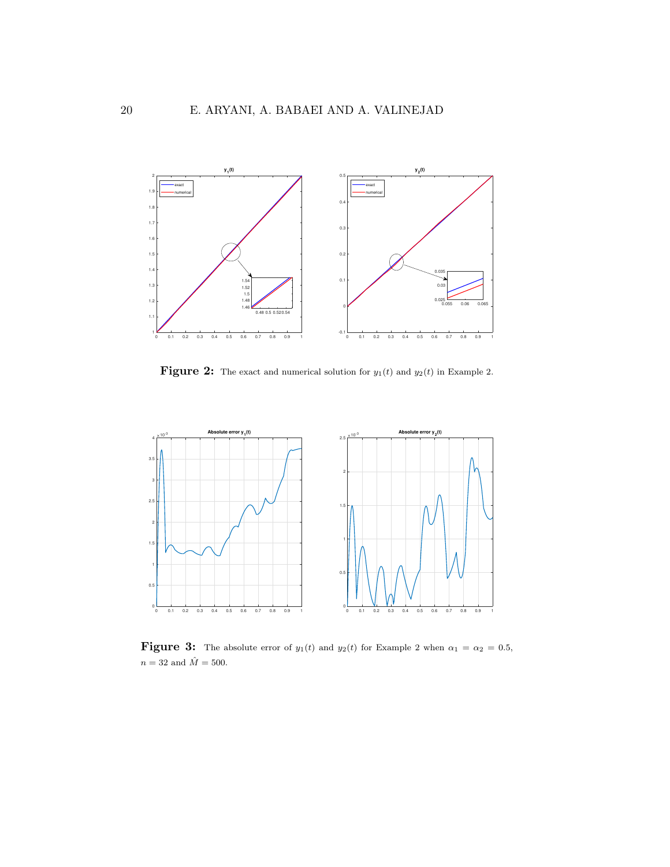

**Figure 2:** The exact and numerical solution for  $y_1(t)$  and  $y_2(t)$  in Example 2.



**Figure 3:** The absolute error of  $y_1(t)$  and  $y_2(t)$  for Example 2 when  $\alpha_1 = \alpha_2 = 0.5$ ,  $n=32$  and  $\hat{M}=500.$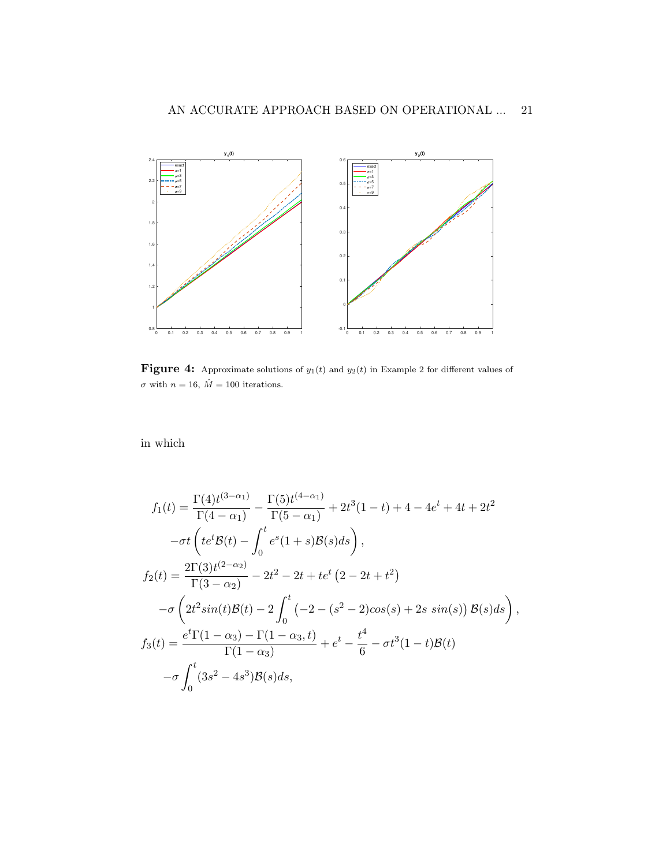

Figure 4: Approximate solutions of  $y_1(t)$  and  $y_2(t)$  in Example 2 for different values of  $\sigma$  with  $n=16, \, \hat M=100$  iterations.

in which

$$
f_1(t) = \frac{\Gamma(4)t^{(3-\alpha_1)}}{\Gamma(4-\alpha_1)} - \frac{\Gamma(5)t^{(4-\alpha_1)}}{\Gamma(5-\alpha_1)} + 2t^3(1-t) + 4 - 4e^t + 4t + 2t^2
$$

$$
-\sigma t \left( te^t \mathcal{B}(t) - \int_0^t e^s (1+s)\mathcal{B}(s)ds \right),
$$

$$
f_2(t) = \frac{2\Gamma(3)t^{(2-\alpha_2)}}{\Gamma(3-\alpha_2)} - 2t^2 - 2t + te^t (2-2t+t^2)
$$

$$
-\sigma \left( 2t^2 \sin(t)\mathcal{B}(t) - 2 \int_0^t \left( -2 - (s^2 - 2)\cos(s) + 2s \sin(s) \right) \mathcal{B}(s)ds \right),
$$

$$
f_3(t) = \frac{e^t \Gamma(1-\alpha_3) - \Gamma(1-\alpha_3, t)}{\Gamma(1-\alpha_3)} + e^t - \frac{t^4}{6} - \sigma t^3 (1-t)\mathcal{B}(t)
$$

$$
-\sigma \int_0^t (3s^2 - 4s^3)\mathcal{B}(s)ds,
$$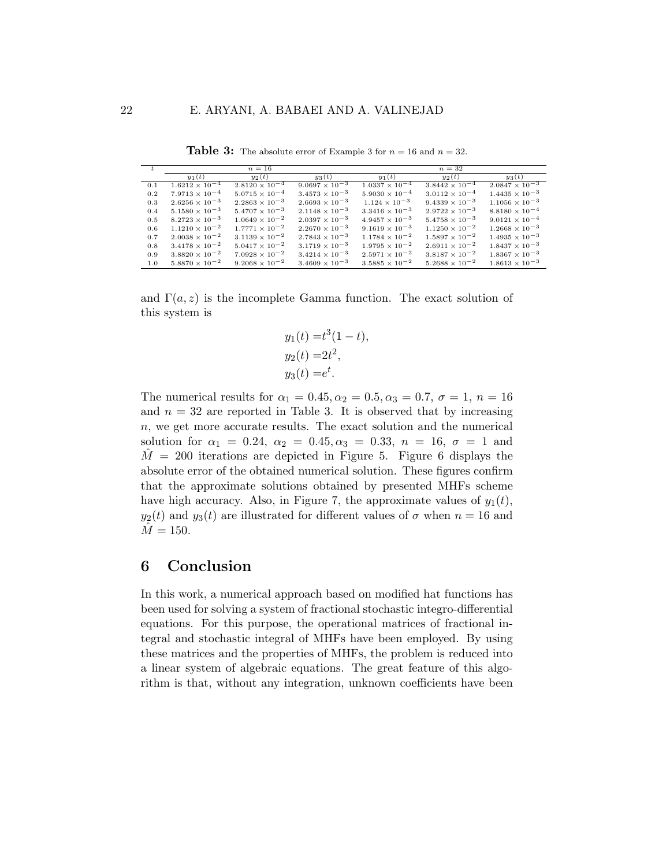| t.  | $n=16$                  |                         |                         | $n=32$                  |                         |                         |
|-----|-------------------------|-------------------------|-------------------------|-------------------------|-------------------------|-------------------------|
|     | $y_1(t)$                | $y_2(t)$                | $y_3(t)$                | $y_1(t)$                | $y_2(t)$                | $y_3(t)$                |
| 0.1 | $1.6212 \times 10^{-4}$ | $2.8120 \times 10^{-4}$ | $9.0697 \times 10^{-3}$ | $1.0337 \times 10^{-4}$ | $3.8442 \times 10^{-4}$ | $2.0847 \times 10^{-3}$ |
| 0.2 | $7.9713 \times 10^{-4}$ | $5.0715 \times 10^{-4}$ | $3.4573 \times 10^{-3}$ | $5.9030 \times 10^{-4}$ | $3.0112 \times 10^{-4}$ | $1.4435 \times 10^{-3}$ |
| 0.3 | $2.6256 \times 10^{-3}$ | $2.2863 \times 10^{-3}$ | $2.6693 \times 10^{-3}$ | $1.124 \times 10^{-3}$  | $9.4339 \times 10^{-3}$ | $1.1056 \times 10^{-3}$ |
| 0.4 | $5.1580 \times 10^{-3}$ | $5.4707 \times 10^{-3}$ | $2.1148 \times 10^{-3}$ | $3.3416 \times 10^{-3}$ | $2.9722 \times 10^{-3}$ | $8.8180 \times 10^{-4}$ |
| 0.5 | $8.2723 \times 10^{-3}$ | $1.0649 \times 10^{-2}$ | $2.0397 \times 10^{-3}$ | $4.9457 \times 10^{-3}$ | $5.4758 \times 10^{-3}$ | $9.0121 \times 10^{-4}$ |
| 0.6 | $1.1210 \times 10^{-2}$ | $1.7771 \times 10^{-2}$ | $2.2670 \times 10^{-3}$ | $9.1619 \times 10^{-3}$ | $1.1250 \times 10^{-2}$ | $1.2668 \times 10^{-3}$ |
| 0.7 | $2.0038 \times 10^{-2}$ | $3.1139 \times 10^{-2}$ | $2.7843 \times 10^{-3}$ | $1.1784 \times 10^{-2}$ | $1.5897 \times 10^{-2}$ | $1.4935 \times 10^{-3}$ |
| 0.8 | $3.4178 \times 10^{-2}$ | $5.0417 \times 10^{-2}$ | $3.1719 \times 10^{-3}$ | $1.9795 \times 10^{-2}$ | $2.6911 \times 10^{-2}$ | $1.8437 \times 10^{-3}$ |
| 0.9 | $3.8820 \times 10^{-2}$ | $7.0928 \times 10^{-2}$ | $3.4214 \times 10^{-3}$ | $2.5971 \times 10^{-2}$ | $3.8187 \times 10^{-2}$ | $1.8367 \times 10^{-3}$ |
| 1.0 | $5.8870 \times 10^{-2}$ | $9.2068 \times 10^{-2}$ | $3.4609 \times 10^{-3}$ | $3.5885 \times 10^{-2}$ | $5.2688 \times 10^{-2}$ | $1.8613 \times 10^{-3}$ |

**Table 3:** The absolute error of Example 3 for  $n = 16$  and  $n = 32$ .

and  $\Gamma(a, z)$  is the incomplete Gamma function. The exact solution of this system is

$$
y_1(t) = t^3(1-t),
$$
  
\n $y_2(t) = 2t^2,$   
\n $y_3(t) = e^t.$ 

The numerical results for  $\alpha_1 = 0.45, \alpha_2 = 0.5, \alpha_3 = 0.7, \sigma = 1, n = 16$ and  $n = 32$  are reported in Table 3. It is observed that by increasing  $n$ , we get more accurate results. The exact solution and the numerical solution for  $\alpha_1 = 0.24$ ,  $\alpha_2 = 0.45$ ,  $\alpha_3 = 0.33$ ,  $n = 16$ ,  $\sigma = 1$  and  $\tilde{M} = 200$  iterations are depicted in Figure 5. Figure 6 displays the absolute error of the obtained numerical solution. These figures confirm that the approximate solutions obtained by presented MHFs scheme have high accuracy. Also, in Figure 7, the approximate values of  $y_1(t)$ ,  $y_2(t)$  and  $y_3(t)$  are illustrated for different values of  $\sigma$  when  $n = 16$  and  $M = 150.$ 

## 6 Conclusion

In this work, a numerical approach based on modified hat functions has been used for solving a system of fractional stochastic integro-differential equations. For this purpose, the operational matrices of fractional integral and stochastic integral of MHFs have been employed. By using these matrices and the properties of MHFs, the problem is reduced into a linear system of algebraic equations. The great feature of this algorithm is that, without any integration, unknown coefficients have been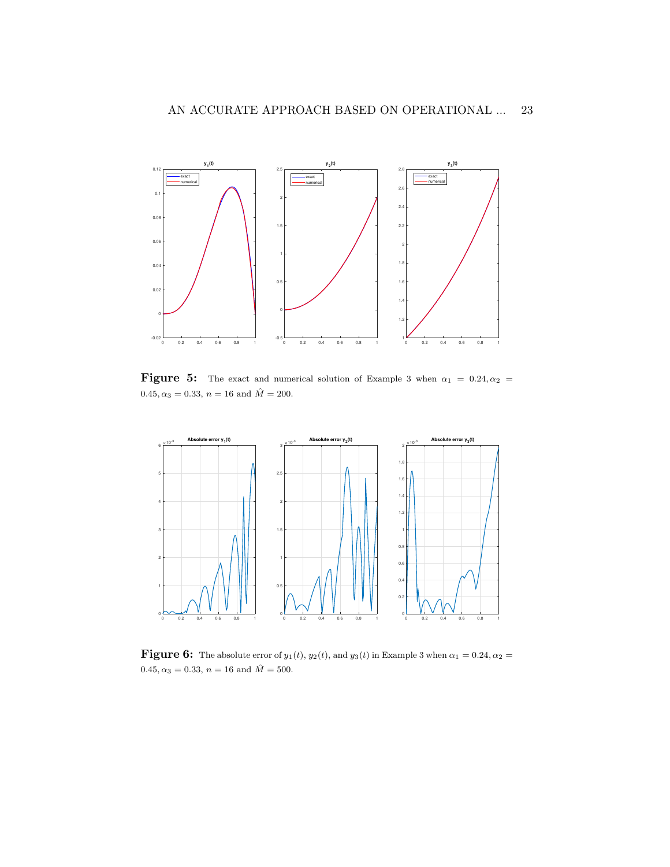

Figure 5: The exact and numerical solution of Example 3 when  $\alpha_1 = 0.24, \alpha_2 =$  $0.45, \alpha_3 = 0.33, \, n = 16$  and  $\hat{M} = 200$ .



Figure 6: The absolute error of  $y_1(t)$ ,  $y_2(t)$ , and  $y_3(t)$  in Example 3 when  $\alpha_1 = 0.24, \alpha_2 =$ 0.45,  $\alpha_3 = 0.33$ ,  $n = 16$  and  $\hat{M} = 500$ .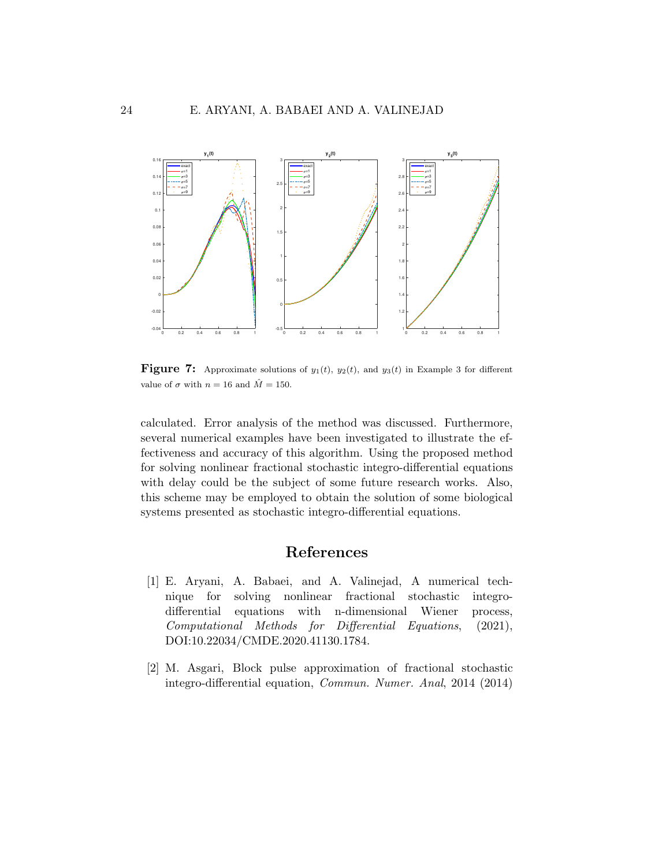

**Figure 7:** Approximate solutions of  $y_1(t)$ ,  $y_2(t)$ , and  $y_3(t)$  in Example 3 for different value of  $\sigma$  with  $n = 16$  and  $\hat{M} = 150$ .

calculated. Error analysis of the method was discussed. Furthermore, several numerical examples have been investigated to illustrate the effectiveness and accuracy of this algorithm. Using the proposed method for solving nonlinear fractional stochastic integro-differential equations with delay could be the subject of some future research works. Also, this scheme may be employed to obtain the solution of some biological systems presented as stochastic integro-differential equations.

# References

- <span id="page-23-1"></span>[1] E. Aryani, A. Babaei, and A. Valinejad, A numerical technique for solving nonlinear fractional stochastic integrodifferential equations with n-dimensional Wiener process, Computational Methods for Differential Equations, (2021), DOI:10.22034/CMDE.2020.41130.1784.
- <span id="page-23-0"></span>[2] M. Asgari, Block pulse approximation of fractional stochastic integro-differential equation, Commun. Numer. Anal, 2014 (2014)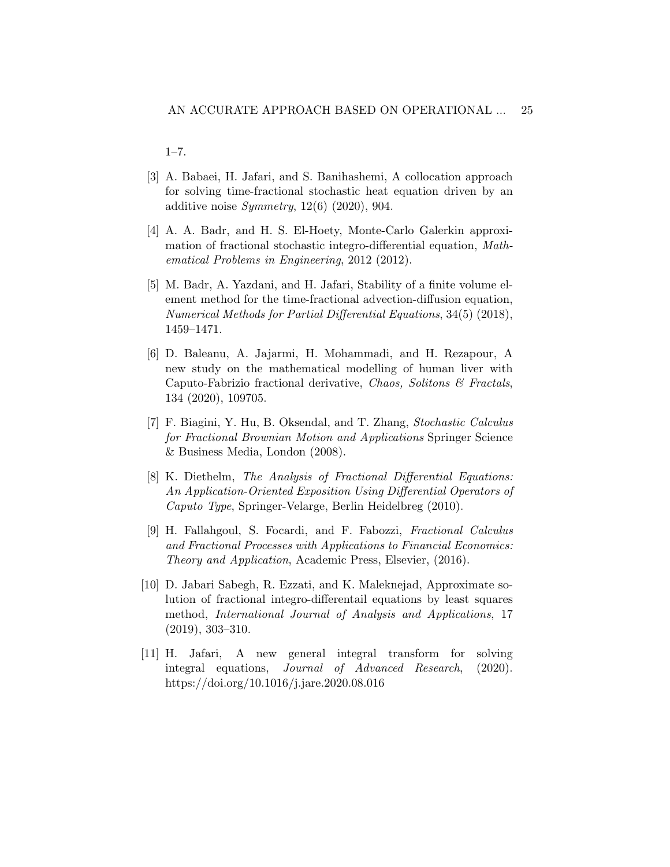1–7.

- <span id="page-24-5"></span>[3] A. Babaei, H. Jafari, and S. Banihashemi, A collocation approach for solving time-fractional stochastic heat equation driven by an additive noise  $Symmetry$ , 12(6) (2020), 904.
- <span id="page-24-8"></span>[4] A. A. Badr, and H. S. El-Hoety, Monte-Carlo Galerkin approximation of fractional stochastic integro-differential equation, Mathematical Problems in Engineering, 2012 (2012).
- <span id="page-24-4"></span>[5] M. Badr, A. Yazdani, and H. Jafari, Stability of a finite volume element method for the time-fractional advection-diffusion equation, Numerical Methods for Partial Differential Equations, 34(5) (2018), 1459–1471.
- <span id="page-24-0"></span>[6] D. Baleanu, A. Jajarmi, H. Mohammadi, and H. Rezapour, A new study on the mathematical modelling of human liver with Caputo-Fabrizio fractional derivative, Chaos, Solitons  $\mathcal C$  Fractals, 134 (2020), 109705.
- <span id="page-24-6"></span>[7] F. Biagini, Y. Hu, B. Oksendal, and T. Zhang, Stochastic Calculus for Fractional Brownian Motion and Applications Springer Science & Business Media, London (2008).
- <span id="page-24-1"></span>[8] K. Diethelm, The Analysis of Fractional Differential Equations: An Application-Oriented Exposition Using Differential Operators of Caputo Type, Springer-Velarge, Berlin Heidelbreg (2010).
- <span id="page-24-7"></span>[9] H. Fallahgoul, S. Focardi, and F. Fabozzi, Fractional Calculus and Fractional Processes with Applications to Financial Economics: Theory and Application, Academic Press, Elsevier, (2016).
- <span id="page-24-3"></span>[10] D. Jabari Sabegh, R. Ezzati, and K. Maleknejad, Approximate solution of fractional integro-differentail equations by least squares method, International Journal of Analysis and Applications, 17 (2019), 303–310.
- <span id="page-24-2"></span>[11] H. Jafari, A new general integral transform for solving integral equations, Journal of Advanced Research, (2020). https://doi.org/10.1016/j.jare.2020.08.016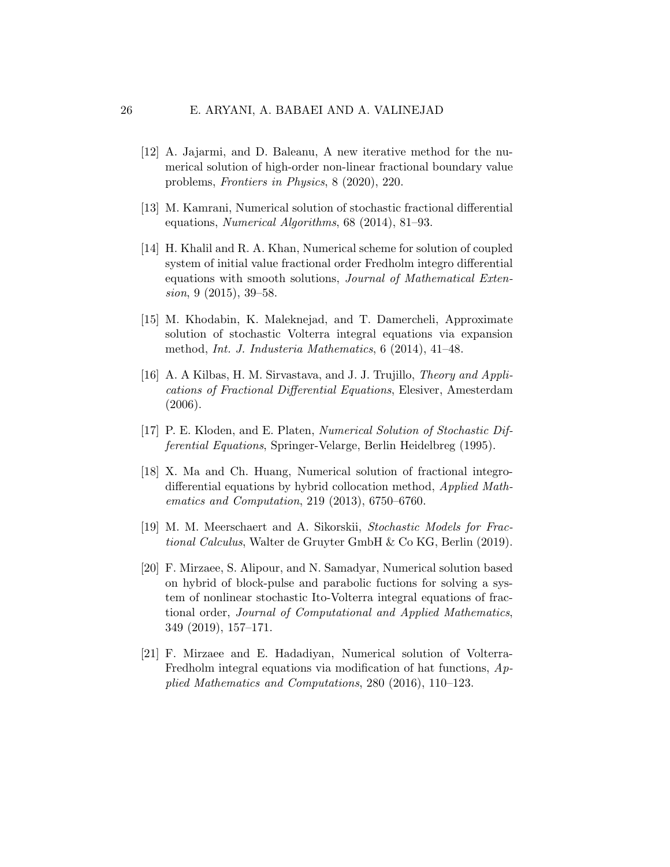- <span id="page-25-0"></span>[12] A. Jajarmi, and D. Baleanu, A new iterative method for the numerical solution of high-order non-linear fractional boundary value problems, Frontiers in Physics, 8 (2020), 220.
- <span id="page-25-6"></span>[13] M. Kamrani, Numerical solution of stochastic fractional differential equations, Numerical Algorithms, 68 (2014), 81–93.
- <span id="page-25-1"></span>[14] H. Khalil and R. A. Khan, Numerical scheme for solution of coupled system of initial value fractional order Fredholm integro differential equations with smooth solutions, Journal of Mathematical Extension, 9 (2015), 39–58.
- <span id="page-25-7"></span>[15] M. Khodabin, K. Maleknejad, and T. Damercheli, Approximate solution of stochastic Volterra integral equations via expansion method, Int. J. Industeria Mathematics, 6 (2014), 41–48.
- <span id="page-25-2"></span>[16] A. A Kilbas, H. M. Sirvastava, and J. J. Trujillo, Theory and Applications of Fractional Differential Equations, Elesiver, Amesterdam (2006).
- <span id="page-25-4"></span>[17] P. E. Kloden, and E. Platen, Numerical Solution of Stochastic Differential Equations, Springer-Velarge, Berlin Heidelbreg (1995).
- <span id="page-25-3"></span>[18] X. Ma and Ch. Huang, Numerical solution of fractional integrodifferential equations by hybrid collocation method, Applied Mathematics and Computation, 219 (2013), 6750–6760.
- <span id="page-25-5"></span>[19] M. M. Meerschaert and A. Sikorskii, Stochastic Models for Fractional Calculus, Walter de Gruyter GmbH & Co KG, Berlin (2019).
- <span id="page-25-8"></span>[20] F. Mirzaee, S. Alipour, and N. Samadyar, Numerical solution based on hybrid of block-pulse and parabolic fuctions for solving a system of nonlinear stochastic Ito-Volterra integral equations of fractional order, Journal of Computational and Applied Mathematics, 349 (2019), 157–171.
- <span id="page-25-9"></span>[21] F. Mirzaee and E. Hadadiyan, Numerical solution of Volterra-Fredholm integral equations via modification of hat functions, Applied Mathematics and Computations, 280 (2016), 110–123.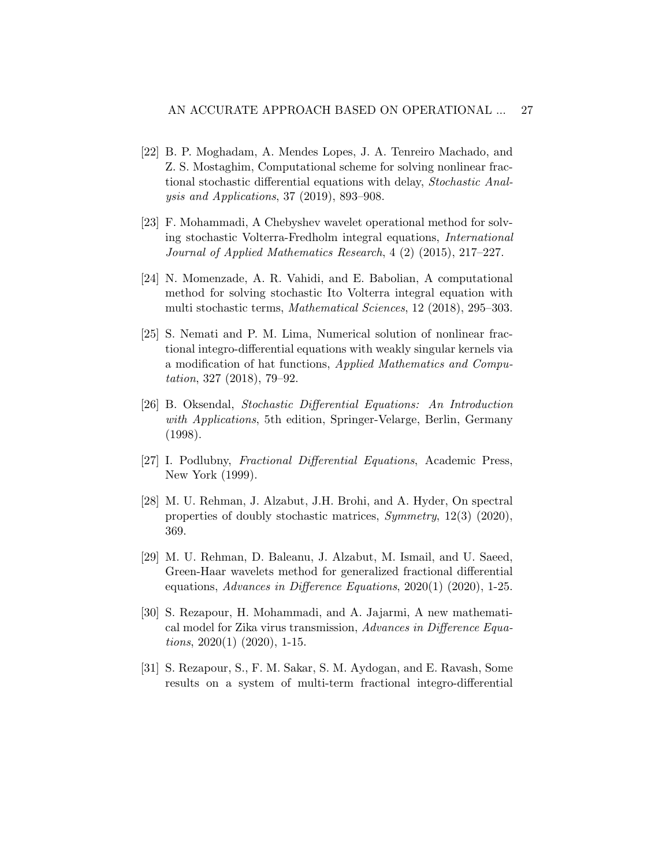- <span id="page-26-4"></span>[22] B. P. Moghadam, A. Mendes Lopes, J. A. Tenreiro Machado, and Z. S. Mostaghim, Computational scheme for solving nonlinear fractional stochastic differential equations with delay, Stochastic Analysis and Applications, 37 (2019), 893–908.
- <span id="page-26-7"></span>[23] F. Mohammadi, A Chebyshev wavelet operational method for solving stochastic Volterra-Fredholm integral equations, International Journal of Applied Mathematics Research, 4 (2) (2015), 217–227.
- <span id="page-26-8"></span>[24] N. Momenzade, A. R. Vahidi, and E. Babolian, A computational method for solving stochastic Ito Volterra integral equation with multi stochastic terms, Mathematical Sciences, 12 (2018), 295–303.
- <span id="page-26-9"></span>[25] S. Nemati and P. M. Lima, Numerical solution of nonlinear fractional integro-differential equations with weakly singular kernels via a modification of hat functions, Applied Mathematics and Computation, 327 (2018), 79–92.
- <span id="page-26-5"></span>[26] B. Oksendal, Stochastic Differential Equations: An Introduction with Applications, 5th edition, Springer-Velarge, Berlin, Germany (1998).
- <span id="page-26-0"></span>[27] I. Podlubny, Fractional Differential Equations, Academic Press, New York (1999).
- <span id="page-26-6"></span>[28] M. U. Rehman, J. Alzabut, J.H. Brohi, and A. Hyder, On spectral properties of doubly stochastic matrices, Symmetry, 12(3) (2020), 369.
- <span id="page-26-3"></span>[29] M. U. Rehman, D. Baleanu, J. Alzabut, M. Ismail, and U. Saeed, Green-Haar wavelets method for generalized fractional differential equations, Advances in Difference Equations, 2020(1) (2020), 1-25.
- <span id="page-26-1"></span>[30] S. Rezapour, H. Mohammadi, and A. Jajarmi, A new mathematical model for Zika virus transmission, Advances in Difference Equa*tions*,  $2020(1)$   $(2020)$ , 1-15.
- <span id="page-26-2"></span>[31] S. Rezapour, S., F. M. Sakar, S. M. Aydogan, and E. Ravash, Some results on a system of multi-term fractional integro-differential